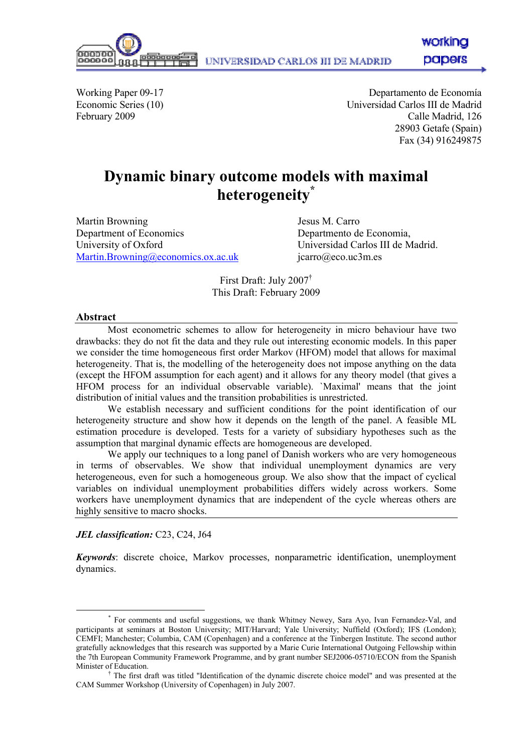workina papers

000000

Working Paper 09-17 Departamento de Economía<br>
Economic Series (10) Departamento de Economía<br>
Universidad Carlos III de Madrid Universidad Carlos III de Madrid February 2009 Calle Madrid, 126 28903 Getafe (Spain) Fax (34) 916249875

# Dynamic binary outcome models with maximal heterogeneity\*

Martin Browning **Internal Secure 1** Jesus M. Carro Department of Economics Departmento de Economia, University of Oxford **Universidad Carlos III de Madrid.** Martin.Browning@economics.ox.ac.uk jcarro@eco.uc3m.es

First Draft: July 2007† This Draft: February 2009

#### Abstract

 $\overline{a}$ 

Most econometric schemes to allow for heterogeneity in micro behaviour have two drawbacks: they do not fit the data and they rule out interesting economic models. In this paper we consider the time homogeneous first order Markov (HFOM) model that allows for maximal heterogeneity. That is, the modelling of the heterogeneity does not impose anything on the data (except the HFOM assumption for each agent) and it allows for any theory model (that gives a HFOM process for an individual observable variable). `Maximal' means that the joint distribution of initial values and the transition probabilities is unrestricted.

We establish necessary and sufficient conditions for the point identification of our heterogeneity structure and show how it depends on the length of the panel. A feasible ML estimation procedure is developed. Tests for a variety of subsidiary hypotheses such as the assumption that marginal dynamic effects are homogeneous are developed.

We apply our techniques to a long panel of Danish workers who are very homogeneous in terms of observables. We show that individual unemployment dynamics are very heterogeneous, even for such a homogeneous group. We also show that the impact of cyclical variables on individual unemployment probabilities differs widely across workers. Some workers have unemployment dynamics that are independent of the cycle whereas others are highly sensitive to macro shocks.

### JEL classification: C23, C24, J64

Keywords: discrete choice, Markov processes, nonparametric identification, unemployment dynamics.

<sup>\*</sup> For comments and useful suggestions, we thank Whitney Newey, Sara Ayo, Ivan Fernandez-Val, and participants at seminars at Boston University; MIT/Harvard; Yale University; Nuffield (Oxford); IFS (London); CEMFI; Manchester; Columbia, CAM (Copenhagen) and a conference at the Tinbergen Institute. The second author gratefully acknowledges that this research was supported by a Marie Curie International Outgoing Fellowship within the 7th European Community Framework Programme, and by grant number SEJ2006-05710/ECON from the Spanish Minister of Education.

<sup>†</sup> The first draft was titled "Identification of the dynamic discrete choice model" and was presented at the CAM Summer Workshop (University of Copenhagen) in July 2007.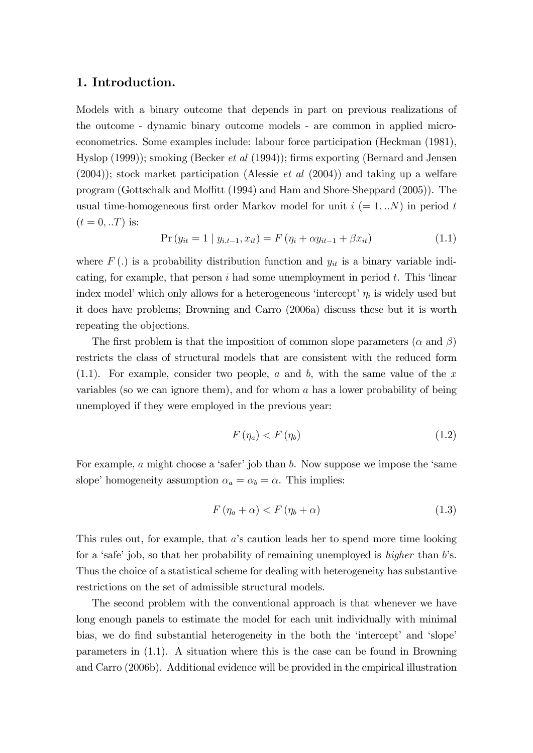## 1. Introduction.

Models with a binary outcome that depends in part on previous realizations of the outcome - dynamic binary outcome models - are common in applied microeconometrics. Some examples include: labour force participation (Heckman (1981), Hyslop (1999)); smoking (Becker et al (1994)); firms exporting (Bernard and Jensen  $(2004)$ ; stock market participation (Alessie *et al*  $(2004)$ ) and taking up a welfare program (Gottschalk and Moffitt (1994) and Ham and Shore-Sheppard (2005)). The usual time-homogeneous first order Markov model for unit  $i (= 1, ...N)$  in period t  $(t = 0, . . T)$  is:

$$
Pr(y_{it} = 1 | y_{i,t-1}, x_{it}) = F(\eta_i + \alpha y_{it-1} + \beta x_{it})
$$
\n(1.1)

where  $F(.)$  is a probability distribution function and  $y_{it}$  is a binary variable indicating, for example, that person  $i$  had some unemployment in period  $t$ . This 'linear index model' which only allows for a heterogeneous 'intercept'  $\eta_i$  is widely used but it does have problems; Browning and Carro (2006a) discuss these but it is worth repeating the objections.

The first problem is that the imposition of common slope parameters ( $\alpha$  and  $\beta$ ) restricts the class of structural models that are consistent with the reduced form  $(1.1)$ . For example, consider two people, a and b, with the same value of the x variables (so we can ignore them), and for whom a has a lower probability of being unemployed if they were employed in the previous year:

$$
F(\eta_a) < F(\eta_b) \tag{1.2}
$$

For example,  $a$  might choose a 'safer' job than  $b$ . Now suppose we impose the 'same slope' homogeneity assumption  $\alpha_a = \alpha_b = \alpha$ . This implies:

$$
F(\eta_a + \alpha) < F(\eta_b + \alpha) \tag{1.3}
$$

This rules out, for example, that a's caution leads her to spend more time looking for a 'safe' job, so that her probability of remaining unemployed is *higher* than  $b$ 's. Thus the choice of a statistical scheme for dealing with heterogeneity has substantive restrictions on the set of admissible structural models.

The second problem with the conventional approach is that whenever we have long enough panels to estimate the model for each unit individually with minimal bias, we do find substantial heterogeneity in the both the 'intercept' and 'slope' parameters in (1.1). A situation where this is the case can be found in Browning and Carro (2006b). Additional evidence will be provided in the empirical illustration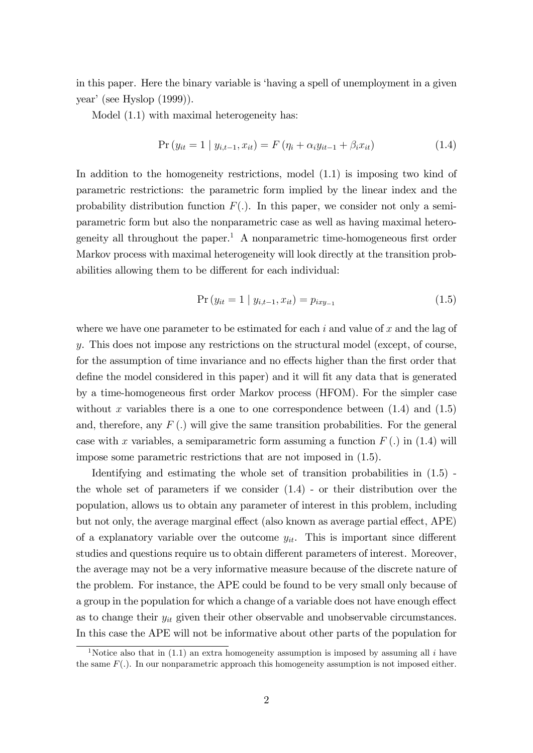in this paper. Here the binary variable is ëhaving a spell of unemployment in a given year' (see Hyslop  $(1999)$ ).

Model  $(1.1)$  with maximal heterogeneity has:

$$
Pr(y_{it} = 1 | y_{i,t-1}, x_{it}) = F(\eta_i + \alpha_i y_{it-1} + \beta_i x_{it})
$$
\n(1.4)

In addition to the homogeneity restrictions, model (1.1) is imposing two kind of parametric restrictions: the parametric form implied by the linear index and the probability distribution function  $F(.)$ . In this paper, we consider not only a semiparametric form but also the nonparametric case as well as having maximal heterogeneity all throughout the paper.<sup>1</sup> A nonparametric time-homogeneous first order Markov process with maximal heterogeneity will look directly at the transition probabilities allowing them to be different for each individual:

$$
Pr(y_{it} = 1 | y_{i,t-1}, x_{it}) = p_{ixy-1}
$$
\n(1.5)

where we have one parameter to be estimated for each  $i$  and value of  $x$  and the lag of y. This does not impose any restrictions on the structural model (except, of course, for the assumption of time invariance and no effects higher than the first order that define the model considered in this paper) and it will fit any data that is generated by a time-homogeneous first order Markov process (HFOM). For the simpler case without x variables there is a one to one correspondence between  $(1.4)$  and  $(1.5)$ and, therefore, any  $F(.)$  will give the same transition probabilities. For the general case with x variables, a semiparametric form assuming a function  $F(.)$  in (1.4) will impose some parametric restrictions that are not imposed in (1.5).

Identifying and estimating the whole set of transition probabilities in (1.5) the whole set of parameters if we consider (1.4) - or their distribution over the population, allows us to obtain any parameter of interest in this problem, including but not only, the average marginal effect (also known as average partial effect, APE) of a explanatory variable over the outcome  $y_{it}$ . This is important since different studies and questions require us to obtain different parameters of interest. Moreover, the average may not be a very informative measure because of the discrete nature of the problem. For instance, the APE could be found to be very small only because of a group in the population for which a change of a variable does not have enough effect as to change their  $y_{it}$  given their other observable and unobservable circumstances. In this case the APE will not be informative about other parts of the population for

<sup>&</sup>lt;sup>1</sup>Notice also that in (1.1) an extra homogeneity assumption is imposed by assuming all i have the same  $F(.)$ . In our nonparametric approach this homogeneity assumption is not imposed either.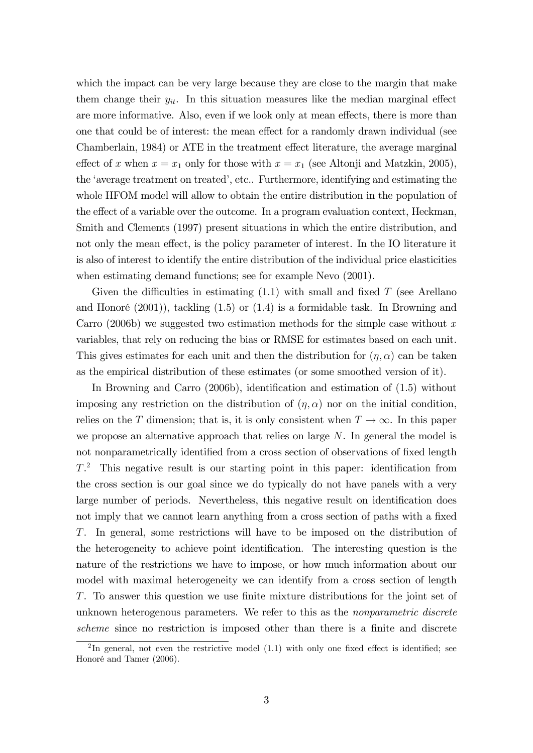which the impact can be very large because they are close to the margin that make them change their  $y_{it}$ . In this situation measures like the median marginal effect are more informative. Also, even if we look only at mean effects, there is more than one that could be of interest: the mean effect for a randomly drawn individual (see Chamberlain, 1984) or ATE in the treatment effect literature, the average marginal effect of x when  $x = x_1$  only for those with  $x = x_1$  (see Altonji and Matzkin, 2005), the 'average treatment on treated', etc.. Furthermore, identifying and estimating the whole HFOM model will allow to obtain the entire distribution in the population of the effect of a variable over the outcome. In a program evaluation context, Heckman, Smith and Clements (1997) present situations in which the entire distribution, and not only the mean effect, is the policy parameter of interest. In the IO literature it is also of interest to identify the entire distribution of the individual price elasticities when estimating demand functions; see for example Nevo (2001).

Given the difficulties in estimating  $(1.1)$  with small and fixed T (see Arellano and Honoré  $(2001)$ , tackling  $(1.5)$  or  $(1.4)$  is a formidable task. In Browning and Carro (2006b) we suggested two estimation methods for the simple case without x variables, that rely on reducing the bias or RMSE for estimates based on each unit. This gives estimates for each unit and then the distribution for  $(\eta, \alpha)$  can be taken as the empirical distribution of these estimates (or some smoothed version of it).

In Browning and Carro  $(2006b)$ , identification and estimation of  $(1.5)$  without imposing any restriction on the distribution of  $(\eta, \alpha)$  nor on the initial condition, relies on the T dimension; that is, it is only consistent when  $T \to \infty$ . In this paper we propose an alternative approach that relies on large  $N$ . In general the model is not nonparametrically identified from a cross section of observations of fixed length  $T<sup>2</sup>$  This negative result is our starting point in this paper: identification from the cross section is our goal since we do typically do not have panels with a very large number of periods. Nevertheless, this negative result on identification does not imply that we cannot learn anything from a cross section of paths with a fixed T. In general, some restrictions will have to be imposed on the distribution of the heterogeneity to achieve point identification. The interesting question is the nature of the restrictions we have to impose, or how much information about our model with maximal heterogeneity we can identify from a cross section of length  $T$ . To answer this question we use finite mixture distributions for the joint set of unknown heterogenous parameters. We refer to this as the *nonparametric discrete* scheme since no restriction is imposed other than there is a finite and discrete

<sup>&</sup>lt;sup>2</sup>In general, not even the restrictive model  $(1.1)$  with only one fixed effect is identified; see Honoré and Tamer (2006).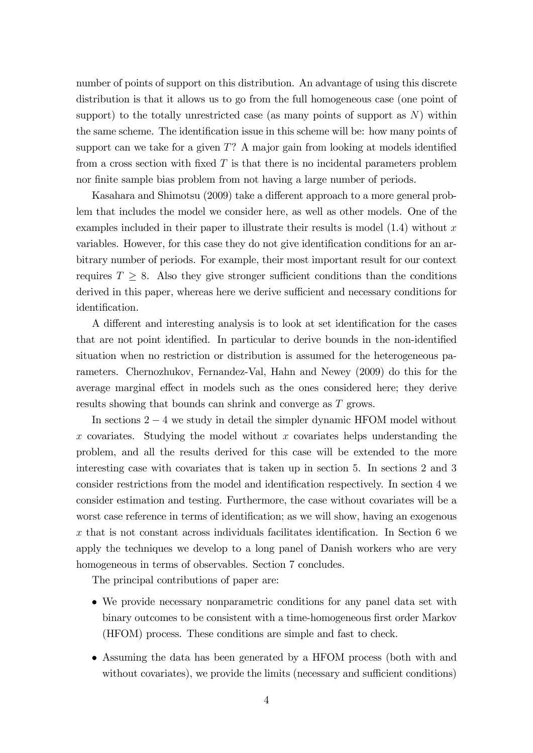number of points of support on this distribution. An advantage of using this discrete distribution is that it allows us to go from the full homogeneous case (one point of support) to the totally unrestricted case (as many points of support as  $N$ ) within the same scheme. The identification issue in this scheme will be: how many points of support can we take for a given  $T$ ? A major gain from looking at models identified from a cross section with fixed  $T$  is that there is no incidental parameters problem nor finite sample bias problem from not having a large number of periods.

Kasahara and Shimotsu (2009) take a different approach to a more general problem that includes the model we consider here, as well as other models. One of the examples included in their paper to illustrate their results is model  $(1.4)$  without x variables. However, for this case they do not give identification conditions for an arbitrary number of periods. For example, their most important result for our context requires  $T \geq 8$ . Also they give stronger sufficient conditions than the conditions derived in this paper, whereas here we derive sufficient and necessary conditions for identification.

A different and interesting analysis is to look at set identification for the cases that are not point identified. In particular to derive bounds in the non-identified situation when no restriction or distribution is assumed for the heterogeneous parameters. Chernozhukov, Fernandez-Val, Hahn and Newey (2009) do this for the average marginal effect in models such as the ones considered here; they derive results showing that bounds can shrink and converge as T grows.

In sections  $2 - 4$  we study in detail the simpler dynamic HFOM model without x covariates. Studying the model without x covariates helps understanding the problem, and all the results derived for this case will be extended to the more interesting case with covariates that is taken up in section 5. In sections 2 and 3 consider restrictions from the model and identification respectively. In section 4 we consider estimation and testing. Furthermore, the case without covariates will be a worst case reference in terms of identification; as we will show, having an exogenous  $x$  that is not constant across individuals facilitates identification. In Section 6 we apply the techniques we develop to a long panel of Danish workers who are very homogeneous in terms of observables. Section 7 concludes.

The principal contributions of paper are:

- We provide necessary nonparametric conditions for any panel data set with binary outcomes to be consistent with a time-homogeneous first order Markov (HFOM) process. These conditions are simple and fast to check.
- Assuming the data has been generated by a HFOM process (both with and without covariates), we provide the limits (necessary and sufficient conditions)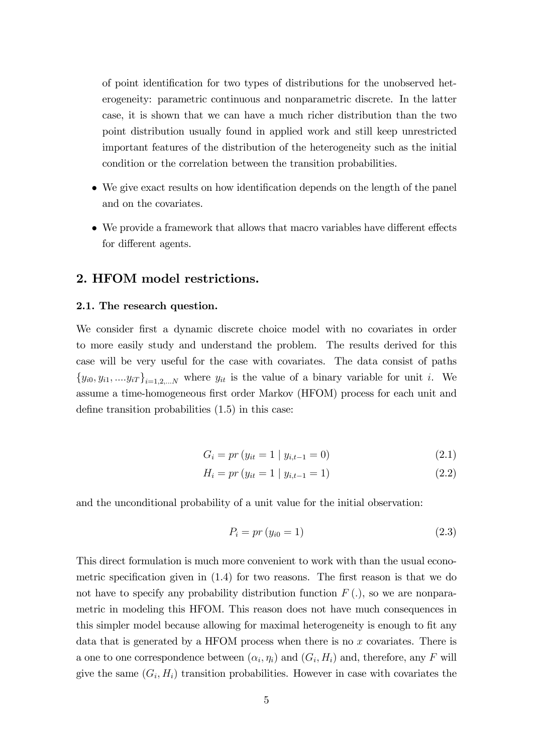of point identification for two types of distributions for the unobserved heterogeneity: parametric continuous and nonparametric discrete. In the latter case, it is shown that we can have a much richer distribution than the two point distribution usually found in applied work and still keep unrestricted important features of the distribution of the heterogeneity such as the initial condition or the correlation between the transition probabilities.

- We give exact results on how identification depends on the length of the panel and on the covariates.
- We provide a framework that allows that macro variables have different effects for different agents.

# 2. HFOM model restrictions.

### 2.1. The research question.

We consider first a dynamic discrete choice model with no covariates in order to more easily study and understand the problem. The results derived for this case will be very useful for the case with covariates. The data consist of paths  ${y_{i0}, y_{i1}, ..., y_{iT}}_{i=1,2,...N}$  where  $y_{it}$  is the value of a binary variable for unit i. We assume a time-homogeneous first order Markov (HFOM) process for each unit and define transition probabilities  $(1.5)$  in this case:

$$
G_i = pr (y_{it} = 1 | y_{i,t-1} = 0)
$$
\n(2.1)

$$
H_i = pr (y_{it} = 1 | y_{i,t-1} = 1)
$$
\n(2.2)

and the unconditional probability of a unit value for the initial observation:

$$
P_i = pr (y_{i0} = 1)
$$
\n(2.3)

This direct formulation is much more convenient to work with than the usual econometric specification given in  $(1.4)$  for two reasons. The first reason is that we do not have to specify any probability distribution function  $F(.)$ , so we are nonparametric in modeling this HFOM. This reason does not have much consequences in this simpler model because allowing for maximal heterogeneity is enough to fit any data that is generated by a HFOM process when there is no  $x$  covariates. There is a one to one correspondence between  $(\alpha_i, \eta_i)$  and  $(G_i, H_i)$  and, therefore, any F will give the same  $(G_i, H_i)$  transition probabilities. However in case with covariates the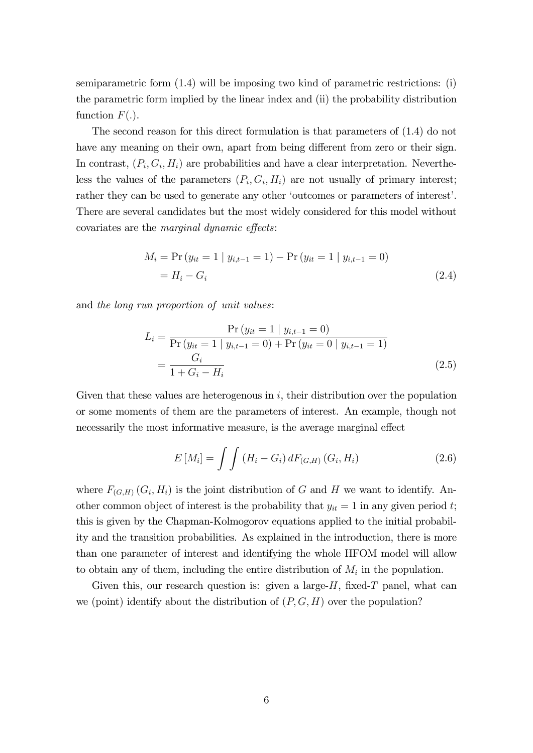semiparametric form (1.4) will be imposing two kind of parametric restrictions: (i) the parametric form implied by the linear index and (ii) the probability distribution function  $F(.)$ .

The second reason for this direct formulation is that parameters of (1.4) do not have any meaning on their own, apart from being different from zero or their sign. In contrast,  $(P_i, G_i, H_i)$  are probabilities and have a clear interpretation. Nevertheless the values of the parameters  $(P_i, G_i, H_i)$  are not usually of primary interest; rather they can be used to generate any other 'outcomes or parameters of interest'. There are several candidates but the most widely considered for this model without covariates are the *marginal dynamic effects*:

$$
M_i = \Pr(y_{it} = 1 | y_{i,t-1} = 1) - \Pr(y_{it} = 1 | y_{i,t-1} = 0)
$$
  
=  $H_i - G_i$  (2.4)

and the long run proportion of unit values:

$$
L_{i} = \frac{\Pr(y_{it} = 1 \mid y_{i,t-1} = 0)}{\Pr(y_{it} = 1 \mid y_{i,t-1} = 0) + \Pr(y_{it} = 0 \mid y_{i,t-1} = 1)} = \frac{G_{i}}{1 + G_{i} - H_{i}}
$$
\n(2.5)

Given that these values are heterogenous in  $i$ , their distribution over the population or some moments of them are the parameters of interest. An example, though not necessarily the most informative measure, is the average marginal effect

$$
E\left[M_i\right] = \int \int \left(H_i - G_i\right) dF_{(G,H)}\left(G_i, H_i\right) \tag{2.6}
$$

where  $F_{(G,H)}(G_i,H_i)$  is the joint distribution of G and H we want to identify. Another common object of interest is the probability that  $y_{it} = 1$  in any given period t; this is given by the Chapman-Kolmogorov equations applied to the initial probability and the transition probabilities. As explained in the introduction, there is more than one parameter of interest and identifying the whole HFOM model will allow to obtain any of them, including the entire distribution of  $M_i$  in the population.

Given this, our research question is: given a large- $H$ , fixed- $T$  panel, what can we (point) identify about the distribution of  $(P, G, H)$  over the population?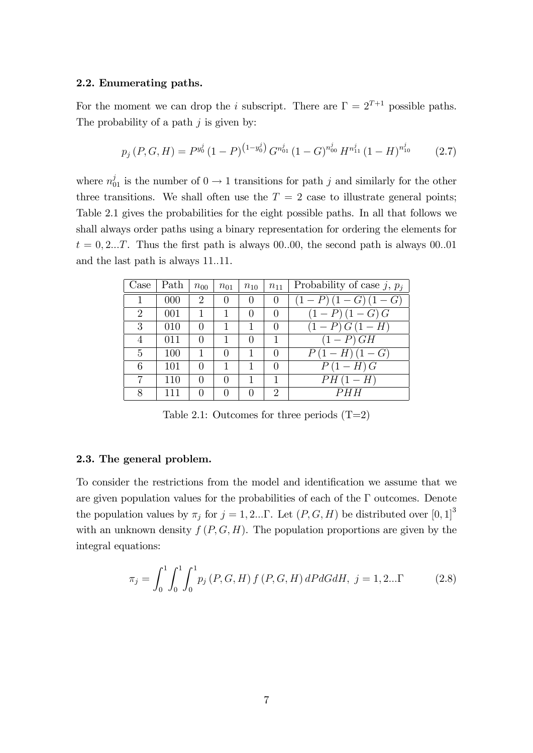#### 2.2. Enumerating paths.

For the moment we can drop the *i* subscript. There are  $\Gamma = 2^{T+1}$  possible paths. The probability of a path  $j$  is given by:

$$
p_j(P, G, H) = P^{y_0^j} (1 - P)^{(1 - y_0^j)} G^{n_{01}^j} (1 - G)^{n_{00}^j} H^{n_{11}^j} (1 - H)^{n_{10}^j}
$$
(2.7)

where  $n_{01}^j$  is the number of  $0 \to 1$  transitions for path j and similarly for the other three transitions. We shall often use the  $T = 2$  case to illustrate general points; Table 2.1 gives the probabilities for the eight possible paths. In all that follows we shall always order paths using a binary representation for ordering the elements for  $t = 0, 2...T$ . Thus the first path is always 00.00, the second path is always 00.01 and the last path is always 11.11.

| Case | Path | $n_{00}$       | $n_{01}$ | $n_{10}$         | $n_{11}$         | Probability of case j, $p_i$ |
|------|------|----------------|----------|------------------|------------------|------------------------------|
|      | 000  | $\mathfrak{D}$ | $\theta$ | $\left( \right)$ | $\theta$         | $\overline{(1-P)(1-G)(1-G)}$ |
| 2    | 001  |                |          | $\theta$         | $\left( \right)$ | $(1-P)(1-G)G$                |
| 3    | 010  |                |          |                  | $\theta$         | $(1 - P) G (1 - H)$          |
| 4    | 011  |                |          |                  |                  | $(1-P)$ GH                   |
| 5    | 100  |                |          |                  | $\left( \right)$ | $P(1 - H)(1 - G)$            |
| 6    | 101  |                |          |                  |                  | $P(1-H)G$                    |
| 7    | 110  |                |          |                  | 1                | $PH(1-H)$                    |
| 8    |      |                |          |                  | 2                |                              |

Table 2.1: Outcomes for three periods  $(T=2)$ 

### 2.3. The general problem.

To consider the restrictions from the model and identification we assume that we are given population values for the probabilities of each of the  $\Gamma$  outcomes. Denote the population values by  $\pi_j$  for  $j = 1, 2...$  Let  $(P, G, H)$  be distributed over  $[0, 1]^3$ with an unknown density  $f(P, G, H)$ . The population proportions are given by the integral equations:

$$
\pi_j = \int_0^1 \int_0^1 \int_0^1 p_j(P, G, H) f(P, G, H) dP dG dH, j = 1, 2... \Gamma
$$
 (2.8)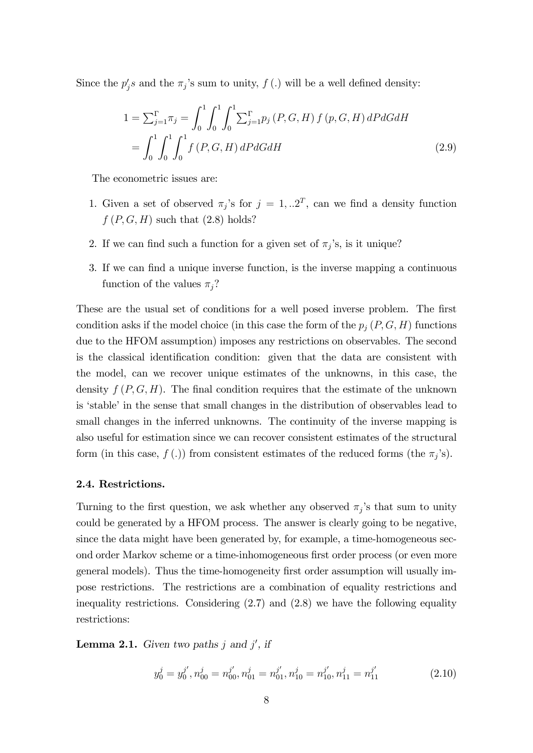Since the  $p'_j s$  and the  $\pi_j$ 's sum to unity,  $f(.)$  will be a well defined density:

$$
1 = \sum_{j=1}^{\Gamma} \pi_j = \int_0^1 \int_0^1 \int_0^1 \sum_{j=1}^{\Gamma} p_j(P, G, H) f(p, G, H) dP dG dH
$$
  
= 
$$
\int_0^1 \int_0^1 \int_0^1 f(P, G, H) dP dG dH
$$
 (2.9)

The econometric issues are:

- 1. Given a set of observed  $\pi_j$ 's for  $j = 1, \dots 2^T$ , can we find a density function  $f(P, G, H)$  such that  $(2.8)$  holds?
- 2. If we can find such a function for a given set of  $\pi_j$ 's, is it unique?
- 3. If we can find a unique inverse function, is the inverse mapping a continuous function of the values  $\pi_j$ ?

These are the usual set of conditions for a well posed inverse problem. The first condition asks if the model choice (in this case the form of the  $p_j(P, G, H)$  functions due to the HFOM assumption) imposes any restrictions on observables. The second is the classical identification condition: given that the data are consistent with the model, can we recover unique estimates of the unknowns, in this case, the density  $f(P, G, H)$ . The final condition requires that the estimate of the unknown is 'stable' in the sense that small changes in the distribution of observables lead to small changes in the inferred unknowns. The continuity of the inverse mapping is also useful for estimation since we can recover consistent estimates of the structural form (in this case,  $f(.)$ ) from consistent estimates of the reduced forms (the  $\pi_j$ 's).

#### 2.4. Restrictions.

Turning to the first question, we ask whether any observed  $\pi_j$ 's that sum to unity could be generated by a HFOM process. The answer is clearly going to be negative, since the data might have been generated by, for example, a time-homogeneous second order Markov scheme or a time-inhomogeneous first order process (or even more general models). Thus the time-homogeneity first order assumption will usually impose restrictions. The restrictions are a combination of equality restrictions and inequality restrictions. Considering  $(2.7)$  and  $(2.8)$  we have the following equality restrictions:

**Lemma 2.1.** Given two paths j and j', if

$$
y_0^j = y_0^{j'}, n_{00}^j = n_{00}^{j'}, n_{01}^j = n_{01}^{j'}, n_{10}^j = n_{10}^{j'}, n_{11}^j = n_{11}^{j'}
$$
 (2.10)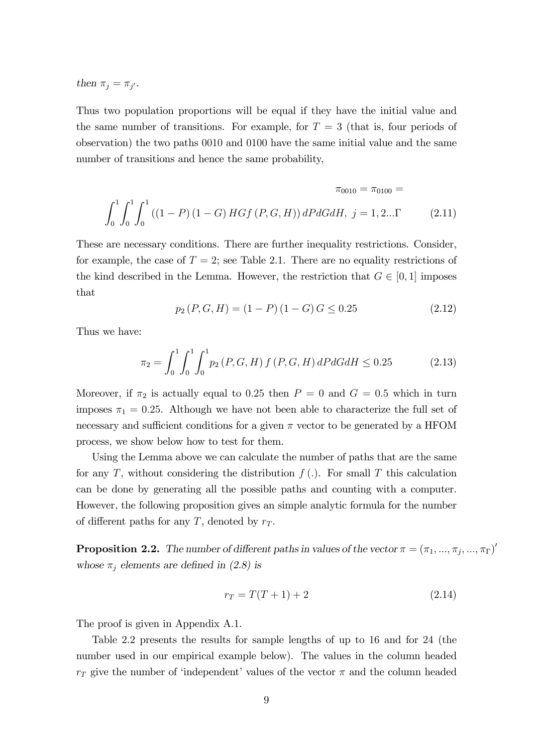then  $\pi_j = \pi_{j'}$ .

Thus two population proportions will be equal if they have the initial value and the same number of transitions. For example, for  $T = 3$  (that is, four periods of observation) the two paths 0010 and 0100 have the same initial value and the same number of transitions and hence the same probability,

$$
\pi_{0010} = \pi_{0100} =
$$
  

$$
\int_0^1 \int_0^1 \int_0^1 ((1 - P) (1 - G) H G f (P, G, H)) dP dG dH, j = 1, 2... \Gamma
$$
 (2.11)

These are necessary conditions. There are further inequality restrictions. Consider, for example, the case of  $T = 2$ ; see Table 2.1. There are no equality restrictions of the kind described in the Lemma. However, the restriction that  $G \in [0, 1]$  imposes that

$$
p_2(P, G, H) = (1 - P)(1 - G)G \le 0.25
$$
\n(2.12)

Thus we have:

$$
\pi_2 = \int_0^1 \int_0^1 \int_0^1 p_2(P, G, H) f(P, G, H) dP dG dH \le 0.25 \tag{2.13}
$$

Moreover, if  $\pi_2$  is actually equal to 0.25 then  $P = 0$  and  $G = 0.5$  which in turn imposes  $\pi_1 = 0.25$ . Although we have not been able to characterize the full set of necessary and sufficient conditions for a given  $\pi$  vector to be generated by a HFOM process, we show below how to test for them.

Using the Lemma above we can calculate the number of paths that are the same for any T, without considering the distribution  $f(.)$ . For small T this calculation can be done by generating all the possible paths and counting with a computer. However, the following proposition gives an simple analytic formula for the number of different paths for any T, denoted by  $r<sub>T</sub>$ .

**Proposition 2.2.** The number of different paths in values of the vector  $\pi = (\pi_1, ..., \pi_j, ..., \pi_\Gamma)'$ whose  $\pi_j$  elements are defined in (2.8) is

$$
r_T = T(T+1) + 2 \tag{2.14}
$$

The proof is given in Appendix A.1.

Table 2.2 presents the results for sample lengths of up to 16 and for 24 (the number used in our empirical example below). The values in the column headed  $r_T$  give the number of 'independent' values of the vector  $\pi$  and the column headed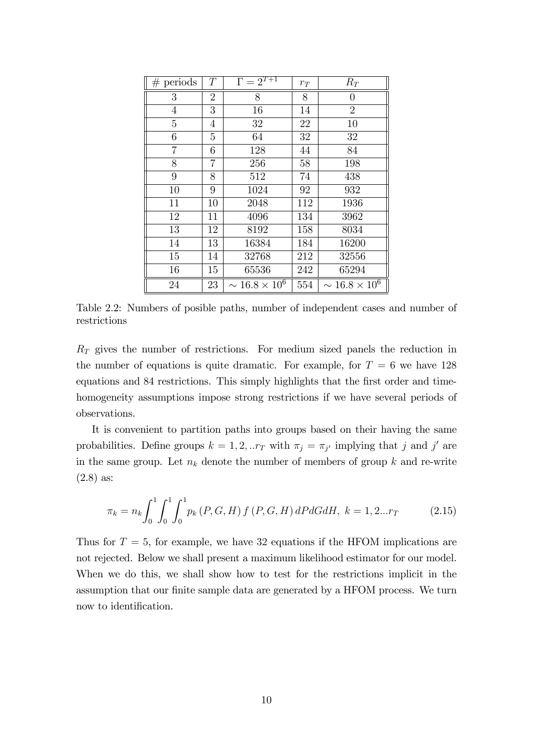| $#$ periods | T              | $\Gamma = 2^{T+1}$      | $r_{\scriptsize T}$ | $R_T$                   |
|-------------|----------------|-------------------------|---------------------|-------------------------|
| 3           | $\overline{2}$ | 8                       | 8                   | 0                       |
| 4           | 3              | 16                      | 14                  | $\overline{2}$          |
| 5           | 4              | 32                      | 22                  | 10                      |
| 6           | 5              | 64                      | 32                  | 32                      |
| 7           | 6              | 128                     | 44                  | 84                      |
| 8           | 7              | 256                     | 58                  | 198                     |
| 9           | 8              | 512                     | 74                  | 438                     |
| 10          | 9              | 1024                    | 92                  | 932                     |
| 11          | 10             | 2048                    | 112                 | 1936                    |
| 12          | 11             | 4096                    | 134                 | 3962                    |
| 13          | 12             | 8192                    | 158                 | 8034                    |
| 14          | 13             | 16384                   | 184                 | 16200                   |
| 15          | 14             | 32768                   | 212                 | 32556                   |
| 16          | 15             | 65536                   | 242                 | 65294                   |
| 24          | 23             | $\sim 16.8 \times 10^6$ | 554                 | $\sim 16.8 \times 10^6$ |

Table 2.2: Numbers of posible paths, number of independent cases and number of restrictions

 $R_T$  gives the number of restrictions. For medium sized panels the reduction in the number of equations is quite dramatic. For example, for  $T = 6$  we have 128 equations and 84 restrictions. This simply highlights that the first order and timehomogeneity assumptions impose strong restrictions if we have several periods of observations.

It is convenient to partition paths into groups based on their having the same probabilities. Define groups  $k = 1, 2, ...r_T$  with  $\pi_j = \pi_{j'}$  implying that j and j' are in the same group. Let  $n_k$  denote the number of members of group k and re-write (2.8) as:

$$
\pi_k = n_k \int_0^1 \int_0^1 \int_0^1 p_k(P, G, H) f(P, G, H) dP dG dH, k = 1, 2...r_T
$$
\n(2.15)

Thus for  $T = 5$ , for example, we have 32 equations if the HFOM implications are not rejected. Below we shall present a maximum likelihood estimator for our model. When we do this, we shall show how to test for the restrictions implicit in the assumption that our finite sample data are generated by a HFOM process. We turn now to identification.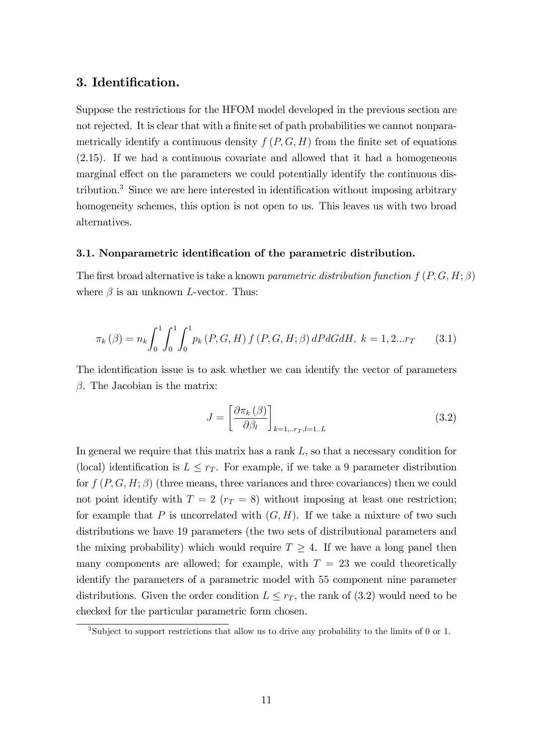## 3. Identification.

Suppose the restrictions for the HFOM model developed in the previous section are not rejected. It is clear that with a finite set of path probabilities we cannot nonparametrically identify a continuous density  $f(P, G, H)$  from the finite set of equations (2.15). If we had a continuous covariate and allowed that it had a homogeneous marginal effect on the parameters we could potentially identify the continuous distribution.<sup>3</sup> Since we are here interested in identification without imposing arbitrary homogeneity schemes, this option is not open to us. This leaves us with two broad alternatives.

#### 3.1. Nonparametric identification of the parametric distribution.

The first broad alternative is take a known parametric distribution function  $f(P, G, H; \beta)$ where  $\beta$  is an unknown L-vector. Thus:

$$
\pi_k(\beta) = n_k \int_0^1 \int_0^1 \int_0^1 p_k(P, G, H) f(P, G, H; \beta) dP dG dH, k = 1, 2...r_T
$$
 (3.1)

The identification issue is to ask whether we can identify the vector of parameters  $\beta$ . The Jacobian is the matrix:

$$
J = \left[\frac{\partial \pi_k(\beta)}{\partial \beta_l}\right]_{k=1,..r_T,l=1..L}
$$
\n(3.2)

In general we require that this matrix has a rank L, so that a necessary condition for (local) identification is  $L \leq r_T$ . For example, if we take a 9 parameter distribution for  $f(P, G, H; \beta)$  (three means, three variances and three covariances) then we could not point identify with  $T = 2$  ( $r_T = 8$ ) without imposing at least one restriction; for example that P is uncorrelated with  $(G, H)$ . If we take a mixture of two such distributions we have 19 parameters (the two sets of distributional parameters and the mixing probability) which would require  $T \geq 4$ . If we have a long panel then many components are allowed; for example, with  $T = 23$  we could theoretically identify the parameters of a parametric model with 55 component nine parameter distributions. Given the order condition  $L \leq r_T$ , the rank of (3.2) would need to be checked for the particular parametric form chosen.

<sup>&</sup>lt;sup>3</sup>Subject to support restrictions that allow us to drive any probability to the limits of 0 or 1.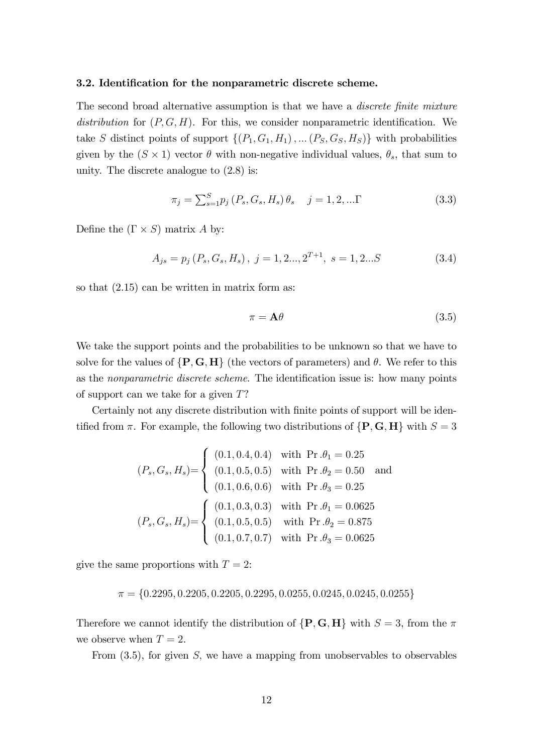#### 3.2. Identification for the nonparametric discrete scheme.

The second broad alternative assumption is that we have a *discrete finite mixture* distribution for  $(P, G, H)$ . For this, we consider nonparametric identification. We take S distinct points of support  $\{(P_1, G_1, H_1), \dots (P_S, G_S, H_S)\}\$  with probabilities given by the  $(S \times 1)$  vector  $\theta$  with non-negative individual values,  $\theta_s$ , that sum to unity. The discrete analogue to (2.8) is:

$$
\pi_j = \sum_{s=1}^{S} p_j \left( P_s, G_s, H_s \right) \theta_s \quad j = 1, 2, \dots \Gamma
$$
\n(3.3)

Define the  $(\Gamma \times S)$  matrix A by:

$$
A_{js} = p_j(P_s, G_s, H_s), \ j = 1, 2..., 2^{T+1}, \ s = 1, 2...S
$$
 (3.4)

so that (2.15) can be written in matrix form as:

$$
\pi = \mathbf{A}\theta \tag{3.5}
$$

We take the support points and the probabilities to be unknown so that we have to solve for the values of  $\{P, G, H\}$  (the vectors of parameters) and  $\theta$ . We refer to this as the *nonparametric discrete scheme*. The identification issue is: how many points of support can we take for a given  $T$ ?

Certainly not any discrete distribution with finite points of support will be identified from  $\pi$ . For example, the following two distributions of  $\{P, G, H\}$  with  $S = 3$ 

$$
(P_s, G_s, H_s) = \begin{cases} (0.1, 0.4, 0.4) & \text{with Pr.} \theta_1 = 0.25 \\ (0.1, 0.5, 0.5) & \text{with Pr.} \theta_2 = 0.50 \\ (0.1, 0.6, 0.6) & \text{with Pr.} \theta_3 = 0.25 \end{cases}
$$
  

$$
(P_s, G_s, H_s) = \begin{cases} (0.1, 0.3, 0.3) & \text{with Pr.} \theta_1 = 0.0625 \\ (0.1, 0.5, 0.5) & \text{with Pr.} \theta_2 = 0.875 \\ (0.1, 0.7, 0.7) & \text{with Pr.} \theta_3 = 0.0625 \end{cases}
$$

give the same proportions with  $T = 2$ :

$$
\pi = \{0.2295, 0.2205, 0.2205, 0.2295, 0.0255, 0.0245, 0.0245, 0.0255\}
$$

Therefore we cannot identify the distribution of  $\{P, G, H\}$  with  $S = 3$ , from the  $\pi$ we observe when  $T = 2$ .

From  $(3.5)$ , for given S, we have a mapping from unobservables to observables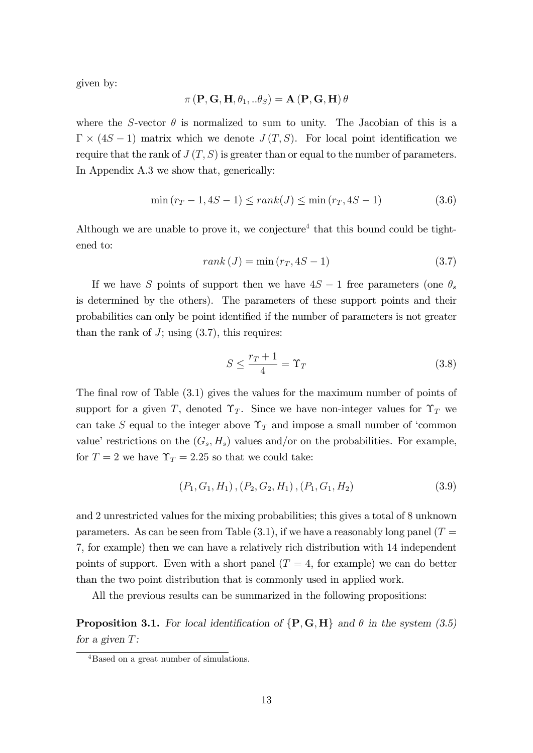given by:

$$
\pi\left(\mathbf{P},\mathbf{G},\mathbf{H},\theta_{1},..\theta_{S}\right)=\mathbf{A}\left(\mathbf{P},\mathbf{G},\mathbf{H}\right)\theta
$$

where the S-vector  $\theta$  is normalized to sum to unity. The Jacobian of this is a  $\Gamma \times (4S - 1)$  matrix which we denote  $J(T, S)$ . For local point identification we require that the rank of  $J(T, S)$  is greater than or equal to the number of parameters. In Appendix A.3 we show that, generically:

$$
\min(r_T - 1, 4S - 1) \le rank(J) \le \min(r_T, 4S - 1) \tag{3.6}
$$

Although we are unable to prove it, we conjecture<sup>4</sup> that this bound could be tightened to:

$$
rank (J) = min (r_T, 4S - 1)
$$
\n(3.7)

If we have S points of support then we have  $4S - 1$  free parameters (one  $\theta_s$ is determined by the others). The parameters of these support points and their probabilities can only be point identified if the number of parameters is not greater than the rank of  $J$ ; using  $(3.7)$ , this requires:

$$
S \le \frac{r_T + 1}{4} = \Upsilon_T \tag{3.8}
$$

The final row of Table  $(3.1)$  gives the values for the maximum number of points of support for a given T, denoted  $\Upsilon_T$ . Since we have non-integer values for  $\Upsilon_T$  we can take S equal to the integer above  $\Upsilon_T$  and impose a small number of 'common value' restrictions on the  $(G_s, H_s)$  values and/or on the probabilities. For example, for  $T = 2$  we have  $\Upsilon_T = 2.25$  so that we could take:

$$
(P_1, G_1, H_1), (P_2, G_2, H_1), (P_1, G_1, H_2)
$$
\n
$$
(3.9)
$$

and 2 unrestricted values for the mixing probabilities; this gives a total of 8 unknown parameters. As can be seen from Table  $(3.1)$ , if we have a reasonably long panel  $(T =$ 7, for example) then we can have a relatively rich distribution with 14 independent points of support. Even with a short panel  $(T = 4, \text{ for example})$  we can do better than the two point distribution that is commonly used in applied work.

All the previous results can be summarized in the following propositions:

**Proposition 3.1.** For local identification of  $\{P, G, H\}$  and  $\theta$  in the system (3.5) for a given T:

<sup>4</sup>Based on a great number of simulations.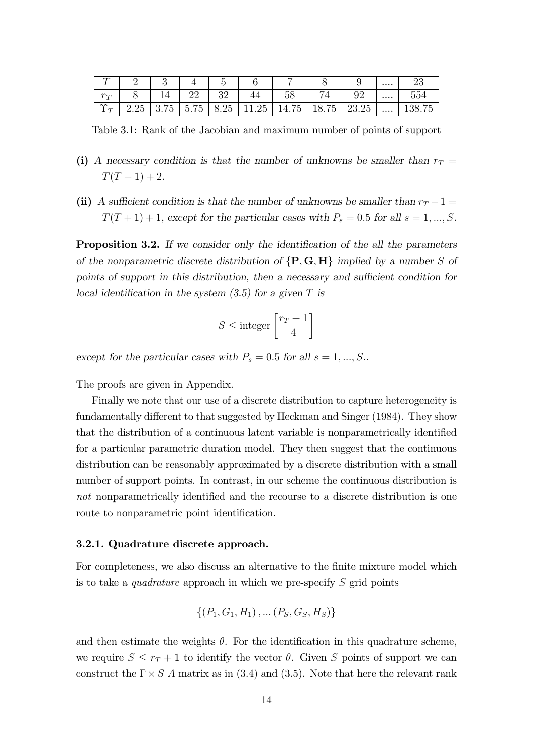|                  |            |                                                        |                                           |                      |             | -              |       |                           | $\cdots$ | ∠≀∪          |
|------------------|------------|--------------------------------------------------------|-------------------------------------------|----------------------|-------------|----------------|-------|---------------------------|----------|--------------|
| $r_{\tau}$       |            |                                                        | ററ<br>∠∠                                  | ∪∠                   |             | $\sim$ .<br>ാറ |       | ∩∩<br>◡▱                  | $\cdots$ | $ -$<br>ÐGG  |
| $\sim$<br>$\tau$ | りに<br>∠.∠∪ | $\overline{\phantom{m}}$<br>$\Omega$<br>'n<br>್ರ<br>◡. | $\tilde{}$<br>$\sim$<br>้<br><u>ບ. ເບ</u> | $\sim$<br>ノト<br>O.40 | าธ<br>11.40 | 14.75          | 18.75 | $\Omega$ ה<br>റാ<br>∠∪.∠∪ | $\cdots$ | 75<br>190.IO |

Table 3.1: Rank of the Jacobian and maximum number of points of support

- (i) A necessary condition is that the number of unknowns be smaller than  $r_T =$  $T(T + 1) + 2$ .
- (ii) A sufficient condition is that the number of unknowns be smaller than  $r_T 1 =$  $T(T + 1) + 1$ , except for the particular cases with  $P_s = 0.5$  for all  $s = 1, ..., S$ .

**Proposition 3.2.** If we consider only the identification of the all the parameters of the nonparametric discrete distribution of  $\{P, G, H\}$  implied by a number S of points of support in this distribution, then a necessary and sufficient condition for local identification in the system  $(3.5)$  for a given T is

$$
S \leq \text{integer}\left[\frac{r_T+1}{4}\right]
$$

except for the particular cases with  $P_s = 0.5$  for all  $s = 1, ..., S$ .

The proofs are given in Appendix.

Finally we note that our use of a discrete distribution to capture heterogeneity is fundamentally different to that suggested by Heckman and Singer (1984). They show that the distribution of a continuous latent variable is nonparametrically identified for a particular parametric duration model. They then suggest that the continuous distribution can be reasonably approximated by a discrete distribution with a small number of support points. In contrast, in our scheme the continuous distribution is not nonparametrically identified and the recourse to a discrete distribution is one route to nonparametric point identification.

#### 3.2.1. Quadrature discrete approach.

For completeness, we also discuss an alternative to the finite mixture model which is to take a *quadrature* approach in which we pre-specify  $S$  grid points

$$
\{(P_1, G_1, H_1), \dots (P_S, G_S, H_S)\}\
$$

and then estimate the weights  $\theta$ . For the identification in this quadrature scheme, we require  $S \leq r_T + 1$  to identify the vector  $\theta$ . Given S points of support we can construct the  $\Gamma \times S$  A matrix as in (3.4) and (3.5). Note that here the relevant rank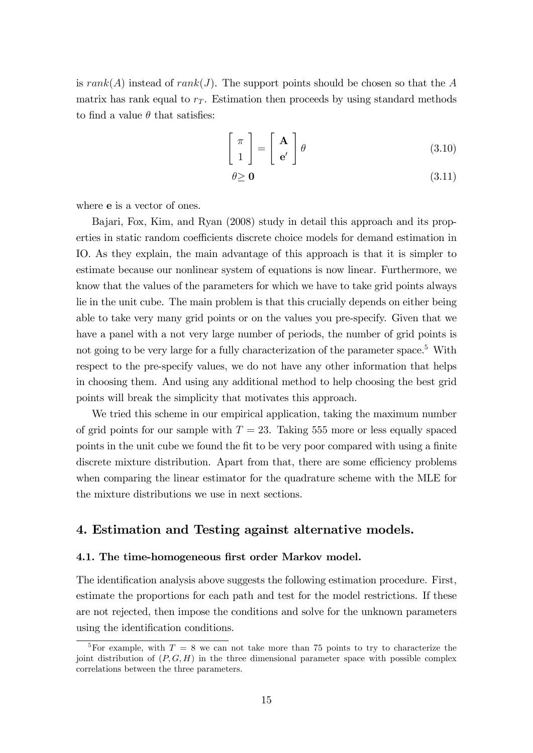is  $rank(A)$  instead of  $rank(J)$ . The support points should be chosen so that the A matrix has rank equal to  $r<sub>T</sub>$ . Estimation then proceeds by using standard methods to find a value  $\theta$  that satisfies:

$$
\left[\begin{array}{c}\pi\\1\end{array}\right]=\left[\begin{array}{c}\mathbf{A}\\e'\end{array}\right]\theta\tag{3.10}
$$

$$
\theta \geq \mathbf{0} \tag{3.11}
$$

where e is a vector of ones.

Bajari, Fox, Kim, and Ryan (2008) study in detail this approach and its properties in static random coefficients discrete choice models for demand estimation in IO. As they explain, the main advantage of this approach is that it is simpler to estimate because our nonlinear system of equations is now linear. Furthermore, we know that the values of the parameters for which we have to take grid points always lie in the unit cube. The main problem is that this crucially depends on either being able to take very many grid points or on the values you pre-specify. Given that we have a panel with a not very large number of periods, the number of grid points is not going to be very large for a fully characterization of the parameter space.<sup>5</sup> With respect to the pre-specify values, we do not have any other information that helps in choosing them. And using any additional method to help choosing the best grid points will break the simplicity that motivates this approach.

We tried this scheme in our empirical application, taking the maximum number of grid points for our sample with  $T = 23$ . Taking 555 more or less equally spaced points in the unit cube we found the fit to be very poor compared with using a finite discrete mixture distribution. Apart from that, there are some efficiency problems when comparing the linear estimator for the quadrature scheme with the MLE for the mixture distributions we use in next sections.

# 4. Estimation and Testing against alternative models.

#### 4.1. The time-homogeneous first order Markov model.

The identification analysis above suggests the following estimation procedure. First, estimate the proportions for each path and test for the model restrictions. If these are not rejected, then impose the conditions and solve for the unknown parameters using the identification conditions.

<sup>&</sup>lt;sup>5</sup>For example, with  $T = 8$  we can not take more than 75 points to try to characterize the joint distribution of  $(P, G, H)$  in the three dimensional parameter space with possible complex correlations between the three parameters.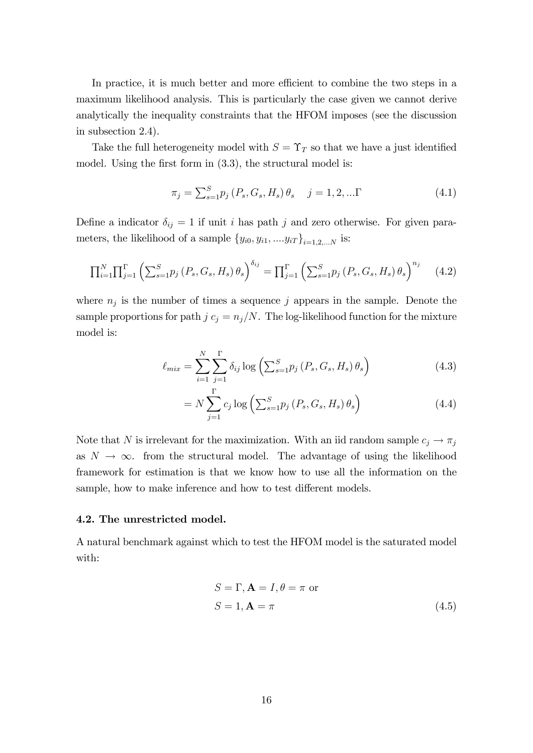In practice, it is much better and more efficient to combine the two steps in a maximum likelihood analysis. This is particularly the case given we cannot derive analytically the inequality constraints that the HFOM imposes (see the discussion in subsection 2.4).

Take the full heterogeneity model with  $S = \Upsilon_T$  so that we have a just identified model. Using the first form in  $(3.3)$ , the structural model is:

$$
\pi_j = \sum_{s=1}^{S} p_j (P_s, G_s, H_s) \theta_s \quad j = 1, 2, ... \Gamma
$$
\n(4.1)

Define a indicator  $\delta_{ij} = 1$  if unit i has path j and zero otherwise. For given parameters, the likelihood of a sample  ${y_{i0}, y_{i1}, ..., y_{iT}}_{i=1,2,...N}$  is:

$$
\prod_{i=1}^{N} \prod_{j=1}^{r} \left( \sum_{s=1}^{S} p_j \left( P_s, G_s, H_s \right) \theta_s \right)^{\delta_{ij}} = \prod_{j=1}^{r} \left( \sum_{s=1}^{S} p_j \left( P_s, G_s, H_s \right) \theta_s \right)^{n_j} \tag{4.2}
$$

where  $n_j$  is the number of times a sequence j appears in the sample. Denote the sample proportions for path  $j c_j = n_j/N$ . The log-likelihood function for the mixture model is:

$$
\ell_{mix} = \sum_{i=1}^{N} \sum_{j=1}^{\Gamma} \delta_{ij} \log \left( \sum_{s=1}^{S} p_j \left( P_s, G_s, H_s \right) \theta_s \right) \tag{4.3}
$$

$$
= N \sum_{j=1}^{\Gamma} c_j \log \left( \sum_{s=1}^{S} p_j \left( P_s, G_s, H_s \right) \theta_s \right) \tag{4.4}
$$

Note that N is irrelevant for the maximization. With an iid random sample  $c_j \to \pi_j$ as  $N \to \infty$ . from the structural model. The advantage of using the likelihood framework for estimation is that we know how to use all the information on the sample, how to make inference and how to test different models.

#### 4.2. The unrestricted model.

A natural benchmark against which to test the HFOM model is the saturated model with:

$$
S = \Gamma, \mathbf{A} = I, \theta = \pi \text{ or}
$$
  

$$
S = 1, \mathbf{A} = \pi
$$
 (4.5)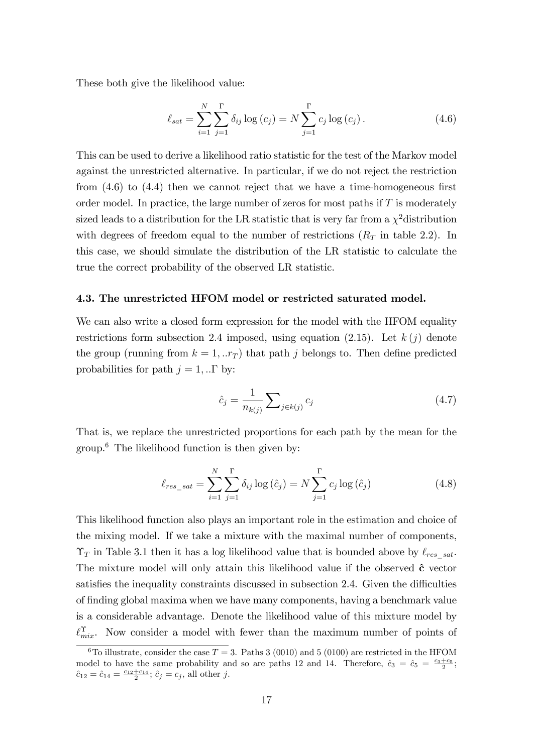These both give the likelihood value:

$$
\ell_{sat} = \sum_{i=1}^{N} \sum_{j=1}^{r} \delta_{ij} \log(c_j) = N \sum_{j=1}^{r} c_j \log(c_j).
$$
 (4.6)

This can be used to derive a likelihood ratio statistic for the test of the Markov model against the unrestricted alternative. In particular, if we do not reject the restriction from  $(4.6)$  to  $(4.4)$  then we cannot reject that we have a time-homogeneous first order model. In practice, the large number of zeros for most paths if  $T$  is moderately sized leads to a distribution for the LR statistic that is very far from a  $\chi^2$  distribution with degrees of freedom equal to the number of restrictions  $(R_T \text{ in table } 2.2)$ . In this case, we should simulate the distribution of the LR statistic to calculate the true the correct probability of the observed LR statistic.

#### 4.3. The unrestricted HFOM model or restricted saturated model.

We can also write a closed form expression for the model with the HFOM equality restrictions form subsection 2.4 imposed, using equation (2.15). Let  $k(j)$  denote the group (running from  $k = 1, ...r_T$ ) that path j belongs to. Then define predicted probabilities for path  $j = 1, \dots \Gamma$  by:

$$
\hat{c}_j = \frac{1}{n_{k(j)}} \sum_{j \in k(j)} c_j \tag{4.7}
$$

That is, we replace the unrestricted proportions for each path by the mean for the group.<sup>6</sup> The likelihood function is then given by:

$$
\ell_{res\_sat} = \sum_{i=1}^{N} \sum_{j=1}^{T} \delta_{ij} \log (\hat{c}_j) = N \sum_{j=1}^{T} c_j \log (\hat{c}_j)
$$
(4.8)

This likelihood function also plays an important role in the estimation and choice of the mixing model. If we take a mixture with the maximal number of components,  $\Upsilon_T$  in Table 3.1 then it has a log likelihood value that is bounded above by  $\ell_{res-sat}$ . The mixture model will only attain this likelihood value if the observed  $\hat{\mathbf{c}}$  vector satisfies the inequality constraints discussed in subsection 2.4. Given the difficulties of finding global maxima when we have many components, having a benchmark value is a considerable advantage. Denote the likelihood value of this mixture model by  $\ell_{mix}^{\Upsilon}$ . Now consider a model with fewer than the maximum number of points of

<sup>&</sup>lt;sup>6</sup>To illustrate, consider the case  $T = 3$ . Paths 3 (0010) and 5 (0100) are restricted in the HFOM model to have the same probability and so are paths 12 and 14. Therefore,  $\hat{c}_3 = \hat{c}_5 = \frac{c_3+c_5}{2}$ ;  $\hat{c}_{12} = \hat{c}_{14} = \frac{c_{12} + c_{14}}{2}; \, \hat{c}_j = c_j$ , all other j.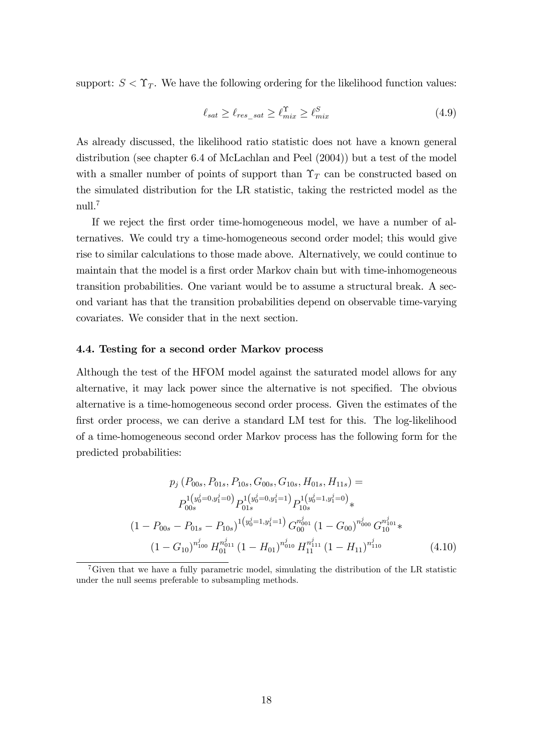support:  $S < \Upsilon_T$ . We have the following ordering for the likelihood function values:

$$
\ell_{sat} \geq \ell_{res\_sat} \geq \ell_{mix}^{\Upsilon} \geq \ell_{mix}^S \tag{4.9}
$$

As already discussed, the likelihood ratio statistic does not have a known general distribution (see chapter 6.4 of McLachlan and Peel (2004)) but a test of the model with a smaller number of points of support than  $\Upsilon_T$  can be constructed based on the simulated distribution for the LR statistic, taking the restricted model as the null. $^7$ 

If we reject the Örst order time-homogeneous model, we have a number of alternatives. We could try a time-homogeneous second order model; this would give rise to similar calculations to those made above. Alternatively, we could continue to maintain that the model is a first order Markov chain but with time-inhomogeneous transition probabilities. One variant would be to assume a structural break. A second variant has that the transition probabilities depend on observable time-varying covariates. We consider that in the next section.

#### 4.4. Testing for a second order Markov process

Although the test of the HFOM model against the saturated model allows for any alternative, it may lack power since the alternative is not specified. The obvious alternative is a time-homogeneous second order process. Given the estimates of the first order process, we can derive a standard LM test for this. The log-likelihood of a time-homogeneous second order Markov process has the following form for the predicted probabilities:

$$
p_j (P_{00s}, P_{01s}, P_{10s}, G_{00s}, G_{10s}, H_{01s}, H_{11s}) =
$$
  
\n
$$
P_{00s}^{1(y_0^j=0,y_1^j=0)} P_{01s}^{1(y_0^j=0,y_1^j=1)} P_{10s}^{1(y_0^j=1,y_1^j=0)} *
$$
  
\n
$$
(1 - P_{00s} - P_{01s} - P_{10s})^{1(y_0^j=1,y_1^j=1)} G_{00}^{n_{001}^j} (1 - G_{00})^{n_{000}^j} G_{10}^{n_{101}^j} *
$$
  
\n
$$
(1 - G_{10})^{n_{100}^j} H_{01}^{n_{011}^j} (1 - H_{01})^{n_{010}^j} H_{11}^{n_{11}^j} (1 - H_{11})^{n_{110}^j}
$$
(4.10)

<sup>7</sup>Given that we have a fully parametric model, simulating the distribution of the LR statistic under the null seems preferable to subsampling methods.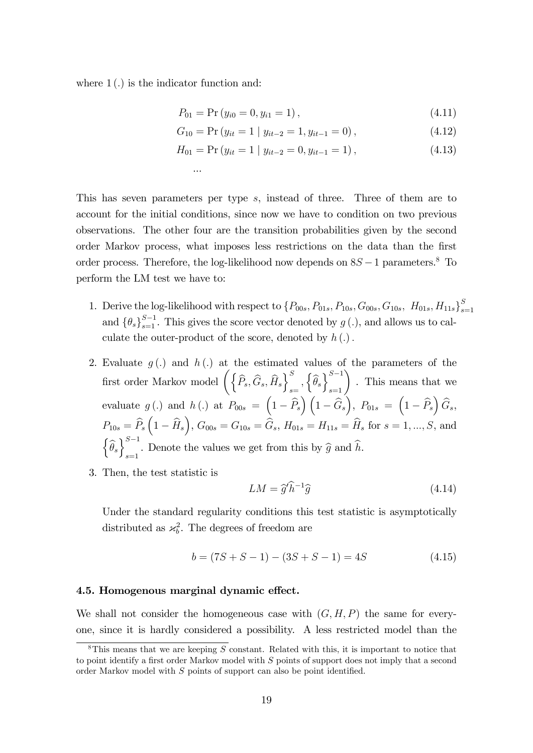where  $1(.)$  is the indicator function and:

...

$$
P_{01} = \Pr(y_{i0} = 0, y_{i1} = 1), \tag{4.11}
$$

$$
G_{10} = \Pr(y_{it} = 1 \mid y_{it-2} = 1, y_{it-1} = 0), \tag{4.12}
$$

$$
H_{01} = \Pr(y_{it} = 1 \mid y_{it-2} = 0, y_{it-1} = 1), \tag{4.13}
$$

This has seven parameters per type s, instead of three. Three of them are to account for the initial conditions, since now we have to condition on two previous observations. The other four are the transition probabilities given by the second order Markov process, what imposes less restrictions on the data than the first order process. Therefore, the log-likelihood now depends on  $8S-1$  parameters.<sup>8</sup> To perform the LM test we have to:

- 1. Derive the log-likelihood with respect to  $\{P_{00s}, P_{01s}, P_{10s}, G_{00s}, G_{10s}, H_{01s}, H_{11s}\}^S_s$  $s=1$ and  $\{\theta_s\}_{s=1}^{S-1}$ . This gives the score vector denoted by  $g(.)$ , and allows us to calculate the outer-product of the score, denoted by  $h(.)$ .
- 2. Evaluate  $g(.)$  and  $h(.)$  at the estimated values of the parameters of the first order Markov model  $\left\langle \left\{\widehat{P}_{s},\widehat{G}_{s},\widehat{H}_{s}\right\} \right\rangle _{s}^{S}$  $\left\{\widehat{\theta}_s\right\}_{s=1}^{S-1}$  . This means that we evaluate  $g(.)$  and  $h(.)$  at  $P_{00s} = (1 - \widehat{P}_s)(1 - \widehat{G}_s), P_{01s} = (1 - \widehat{P}_s) \widehat{G}_s,$  $P_{10s} = \widehat{P}_s\left(1-\widehat{H}_s\right)$ ,  $G_{00s} = G_{10s} = \widehat{G}_s$ ,  $H_{01s} = H_{11s} = \widehat{H}_s$  for  $s = 1, ..., S$ , and  $\left\{\widehat{\theta}_{s}\right\}_{s=1}^{S-1}$ . Denote the values we get from this by  $\widehat{g}$  and h.
- 3. Then, the test statistic is

$$
LM = \hat{g}'\hat{h}^{-1}\hat{g}
$$
\n(4.14)

Under the standard regularity conditions this test statistic is asymptotically distributed as  $\mathcal{A}_b^2$ . The degrees of freedom are

$$
b = (7S + S - 1) - (3S + S - 1) = 4S \tag{4.15}
$$

#### 4.5. Homogenous marginal dynamic effect.

We shall not consider the homogeneous case with  $(G, H, P)$  the same for everyone, since it is hardly considered a possibility. A less restricted model than the

<sup>&</sup>lt;sup>8</sup>This means that we are keeping S constant. Related with this, it is important to notice that to point identify a first order Markov model with  $S$  points of support does not imply that a second order Markov model with  $S$  points of support can also be point identified.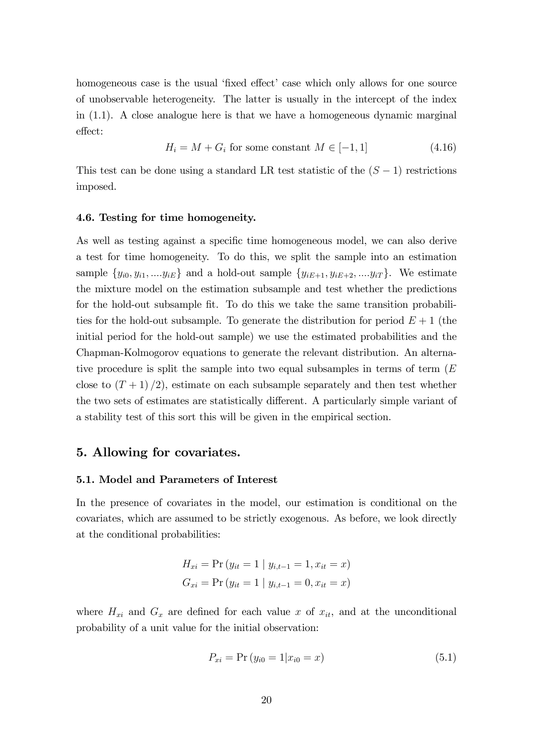homogeneous case is the usual 'fixed effect' case which only allows for one source of unobservable heterogeneity. The latter is usually in the intercept of the index in (1.1). A close analogue here is that we have a homogeneous dynamic marginal effect:

$$
H_i = M + G_i
$$
 for some constant  $M \in [-1, 1]$  (4.16)

This test can be done using a standard LR test statistic of the  $(S - 1)$  restrictions imposed.

#### 4.6. Testing for time homogeneity.

As well as testing against a specific time homogeneous model, we can also derive a test for time homogeneity. To do this, we split the sample into an estimation sample  $\{y_{i0}, y_{i1}, \ldots, y_{iE}\}$  and a hold-out sample  $\{y_{iE+1}, y_{iE+2}, \ldots, y_{iT}\}$ . We estimate the mixture model on the estimation subsample and test whether the predictions for the hold-out subsample fit. To do this we take the same transition probabilities for the hold-out subsample. To generate the distribution for period  $E + 1$  (the initial period for the hold-out sample) we use the estimated probabilities and the Chapman-Kolmogorov equations to generate the relevant distribution. An alternative procedure is split the sample into two equal subsamples in terms of term  $(E)$ close to  $(T+1)/2$ , estimate on each subsample separately and then test whether the two sets of estimates are statistically different. A particularly simple variant of a stability test of this sort this will be given in the empirical section.

# 5. Allowing for covariates.

#### 5.1. Model and Parameters of Interest

In the presence of covariates in the model, our estimation is conditional on the covariates, which are assumed to be strictly exogenous. As before, we look directly at the conditional probabilities:

$$
H_{xi} = \Pr(y_{it} = 1 | y_{i,t-1} = 1, x_{it} = x)
$$
  

$$
G_{xi} = \Pr(y_{it} = 1 | y_{i,t-1} = 0, x_{it} = x)
$$

where  $H_{xi}$  and  $G_x$  are defined for each value x of  $x_{it}$ , and at the unconditional probability of a unit value for the initial observation:

$$
P_{xi} = \Pr(y_{i0} = 1 | x_{i0} = x)
$$
\n(5.1)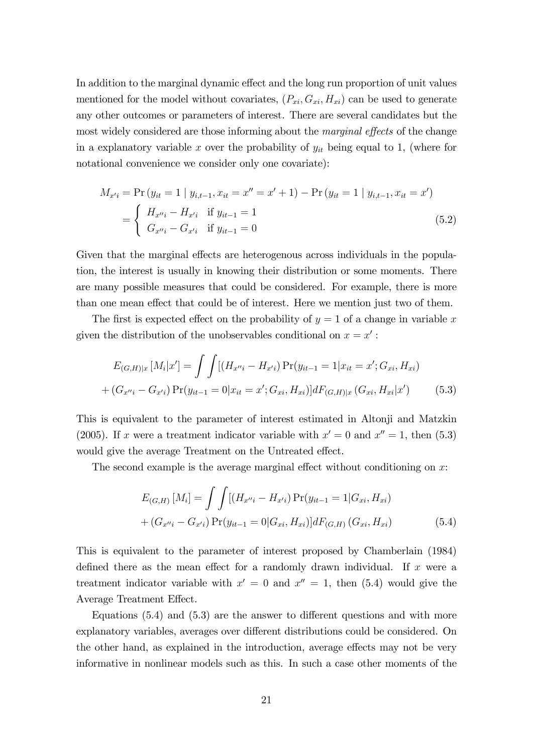In addition to the marginal dynamic effect and the long run proportion of unit values mentioned for the model without covariates,  $(P_{xi}, G_{xi}, H_{xi})$  can be used to generate any other outcomes or parameters of interest. There are several candidates but the most widely considered are those informing about the *marginal effects* of the change in a explanatory variable x over the probability of  $y_{it}$  being equal to 1, (where for notational convenience we consider only one covariate):

$$
M_{x'i} = \Pr(y_{it} = 1 | y_{i,t-1}, x_{it} = x'' = x' + 1) - \Pr(y_{it} = 1 | y_{i,t-1}, x_{it} = x')
$$
  
= 
$$
\begin{cases} H_{x''i} - H_{x'i} & \text{if } y_{it-1} = 1 \\ G_{x''i} - G_{x'i} & \text{if } y_{it-1} = 0 \end{cases}
$$
 (5.2)

Given that the marginal effects are heterogenous across individuals in the population, the interest is usually in knowing their distribution or some moments. There are many possible measures that could be considered. For example, there is more than one mean effect that could be of interest. Here we mention just two of them.

The first is expected effect on the probability of  $y = 1$  of a change in variable x given the distribution of the unobservables conditional on  $x = x'$ :

$$
E_{(G,H)|x}[M_i|x'] = \int \int [(H_{x''i} - H_{x'i}) \Pr(y_{it-1} = 1 | x_{it} = x'; G_{xi}, H_{xi})
$$

$$
+ (G_{x''i} - G_{x'i}) \Pr(y_{it-1} = 0 | x_{it} = x'; G_{xi}, H_{xi})] dF_{(G,H)|x}(G_{xi}, H_{xi}|x')
$$
(5.3)

This is equivalent to the parameter of interest estimated in Altonji and Matzkin (2005). If x were a treatment indicator variable with  $x' = 0$  and  $x'' = 1$ , then (5.3) would give the average Treatment on the Untreated effect.

The second example is the average marginal effect without conditioning on  $x$ :

$$
E_{(G,H)}[M_i] = \int \int [(H_{x''i} - H_{x'i}) \Pr(y_{it-1} = 1 | G_{xi}, H_{xi})
$$
  
+  $(G_{x''i} - G_{x'i}) \Pr(y_{it-1} = 0 | G_{xi}, H_{xi})] dF_{(G,H)}(G_{xi}, H_{xi})$  (5.4)

This is equivalent to the parameter of interest proposed by Chamberlain (1984) defined there as the mean effect for a randomly drawn individual. If x were a treatment indicator variable with  $x' = 0$  and  $x'' = 1$ , then (5.4) would give the Average Treatment Effect.

Equations  $(5.4)$  and  $(5.3)$  are the answer to different questions and with more explanatory variables, averages over different distributions could be considered. On the other hand, as explained in the introduction, average effects may not be very informative in nonlinear models such as this. In such a case other moments of the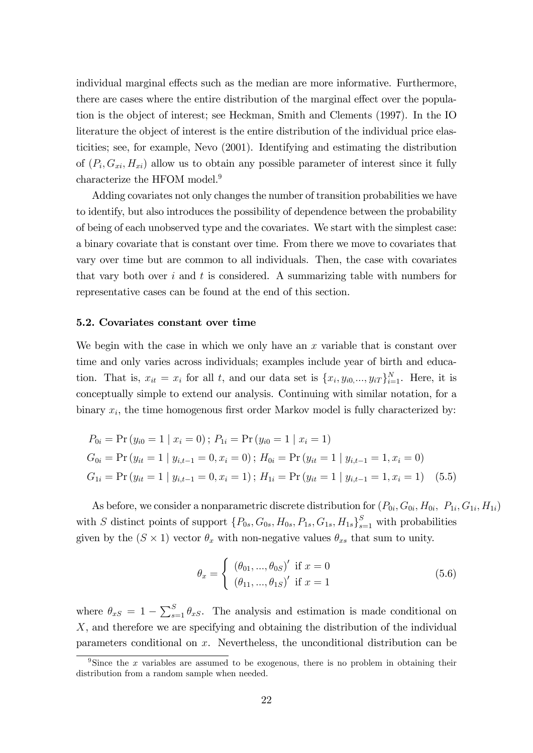individual marginal effects such as the median are more informative. Furthermore, there are cases where the entire distribution of the marginal effect over the population is the object of interest; see Heckman, Smith and Clements (1997). In the IO literature the object of interest is the entire distribution of the individual price elasticities; see, for example, Nevo (2001). Identifying and estimating the distribution of  $(P_i, G_{xi}, H_{xi})$  allow us to obtain any possible parameter of interest since it fully characterize the HFOM model.<sup>9</sup>

Adding covariates not only changes the number of transition probabilities we have to identify, but also introduces the possibility of dependence between the probability of being of each unobserved type and the covariates. We start with the simplest case: a binary covariate that is constant over time. From there we move to covariates that vary over time but are common to all individuals. Then, the case with covariates that vary both over i and t is considered. A summarizing table with numbers for representative cases can be found at the end of this section.

#### 5.2. Covariates constant over time

We begin with the case in which we only have an  $x$  variable that is constant over time and only varies across individuals; examples include year of birth and education. That is,  $x_{it} = x_i$  for all t, and our data set is  $\{x_i, y_{i0}, \ldots, y_{iT}\}_{i=1}^N$ . Here, it is conceptually simple to extend our analysis. Continuing with similar notation, for a binary  $x_i$ , the time homogenous first order Markov model is fully characterized by:

$$
P_{0i} = \Pr(y_{i0} = 1 | x_i = 0); P_{1i} = \Pr(y_{i0} = 1 | x_i = 1)
$$
  
\n
$$
G_{0i} = \Pr(y_{it} = 1 | y_{i,t-1} = 0, x_i = 0); H_{0i} = \Pr(y_{it} = 1 | y_{i,t-1} = 1, x_i = 0)
$$
  
\n
$$
G_{1i} = \Pr(y_{it} = 1 | y_{i,t-1} = 0, x_i = 1); H_{1i} = \Pr(y_{it} = 1 | y_{i,t-1} = 1, x_i = 1) \quad (5.5)
$$

As before, we consider a nonparametric discrete distribution for  $(P_{0i}, G_{0i}, H_{0i}, P_{1i}, G_{1i}, H_{1i})$ with S distinct points of support  $\{P_{0s}, G_{0s}, H_{0s}, P_{1s}, G_{1s}, H_{1s}\}_{s=1}^S$  with probabilities given by the  $(S \times 1)$  vector  $\theta_x$  with non-negative values  $\theta_{xs}$  that sum to unity.

$$
\theta_x = \begin{cases} (\theta_{01}, ..., \theta_{0S})' & \text{if } x = 0 \\ (\theta_{11}, ..., \theta_{1S})' & \text{if } x = 1 \end{cases}
$$
 (5.6)

where  $\theta_{xS} = 1 - \sum_{s=1}^{S} \theta_{xS}$ . The analysis and estimation is made conditional on X, and therefore we are specifying and obtaining the distribution of the individual parameters conditional on x. Nevertheless, the unconditional distribution can be

<sup>&</sup>lt;sup>9</sup>Since the x variables are assumed to be exogenous, there is no problem in obtaining their distribution from a random sample when needed.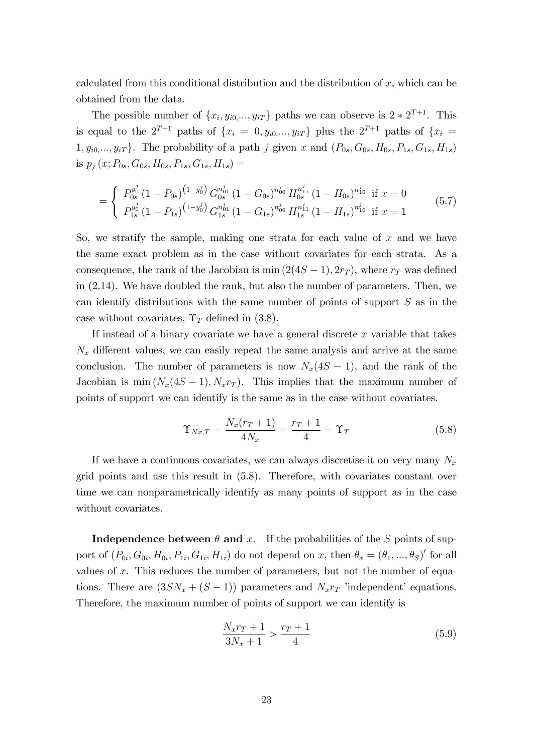calculated from this conditional distribution and the distribution of  $x$ , which can be obtained from the data.

The possible number of  $\{x_i, y_{i0}, \ldots, y_{iT}\}$  paths we can observe is  $2 * 2^{T+1}$ . This is equal to the  $2^{T+1}$  paths of  $\{x_i = 0, y_{i0},..., y_{iT}\}$  plus the  $2^{T+1}$  paths of  $\{x_i =$  $1, y_{i0}, \ldots, y_{iT}$ . The probability of a path j given x and  $(P_{0s}, G_{0s}, H_{0s}, P_{1s}, G_{1s}, H_{1s})$ is  $p_i(x; P_{0s}, G_{0s}, H_{0s}, P_{1s}, G_{1s}, H_{1s}) =$ 

$$
= \begin{cases} P_{0s}^{y_0^j} (1 - P_{0s})^{(1 - y_0^j)} G_{0s}^{n_{01}^j} (1 - G_{0s})^{n_{00}^j} H_{0s}^{n_{11}^j} (1 - H_{0s})^{n_{10}^j} \text{ if } x = 0\\ P_{1s}^{y_0^j} (1 - P_{1s})^{(1 - y_0^j)} G_{1s}^{n_{01}^j} (1 - G_{1s})^{n_{00}^j} H_{1s}^{n_{11}^j} (1 - H_{1s})^{n_{10}^j} \text{ if } x = 1 \end{cases} \tag{5.7}
$$

So, we stratify the sample, making one strata for each value of  $x$  and we have the same exact problem as in the case without covariates for each strata. As a consequence, the rank of the Jacobian is min  $(2(4S-1), 2r_T)$ , where  $r_T$  was defined in (2.14). We have doubled the rank, but also the number of parameters. Then, we can identify distributions with the same number of points of support  $S$  as in the case without covariates,  $\Upsilon_T$  defined in (3.8).

If instead of a binary covariate we have a general discrete  $x$  variable that takes  $N_x$  different values, we can easily repeat the same analysis and arrive at the same conclusion. The number of parameters is now  $N_x(4S-1)$ , and the rank of the Jacobian is min  $(N_x(4S - 1), N_x r_T)$ . This implies that the maximum number of points of support we can identify is the same as in the case without covariates.

$$
\Upsilon_{Nx,T} = \frac{N_x(r_T + 1)}{4N_x} = \frac{r_T + 1}{4} = \Upsilon_T \tag{5.8}
$$

If we have a continuous covariates, we can always discretise it on very many  $N_x$ grid points and use this result in (5.8). Therefore, with covariates constant over time we can nonparametrically identify as many points of support as in the case without covariates.

**Independence between**  $\theta$  **and x**. If the probabilities of the S points of support of  $(P_{0i}, G_{0i}, H_{0i}, P_{1i}, G_{1i}, H_{1i})$  do not depend on x, then  $\theta_x = (\theta_1, ..., \theta_S)'$  for all values of  $x$ . This reduces the number of parameters, but not the number of equations. There are  $(3SN_x + (S-1))$  parameters and  $N_x r$  'independent' equations. Therefore, the maximum number of points of support we can identify is

$$
\frac{N_x r_T + 1}{3N_x + 1} > \frac{r_T + 1}{4}
$$
\n(5.9)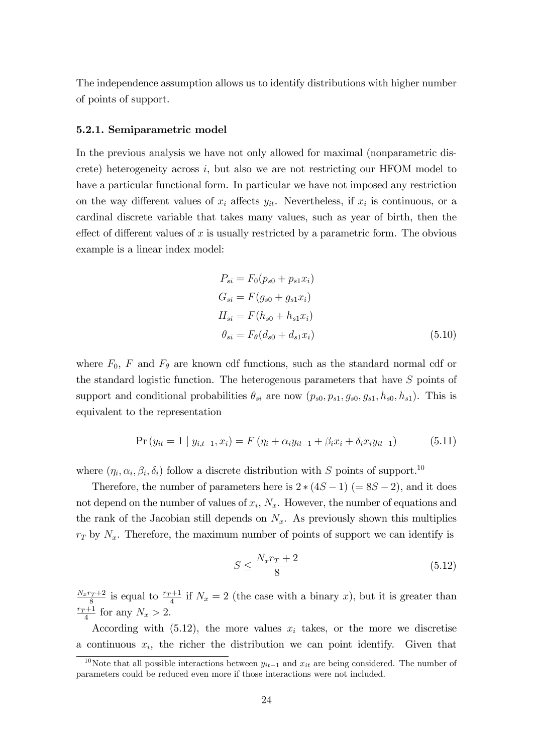The independence assumption allows us to identify distributions with higher number of points of support.

#### 5.2.1. Semiparametric model

In the previous analysis we have not only allowed for maximal (nonparametric discrete) heterogeneity across i, but also we are not restricting our HFOM model to have a particular functional form. In particular we have not imposed any restriction on the way different values of  $x_i$  affects  $y_{it}$ . Nevertheless, if  $x_i$  is continuous, or a cardinal discrete variable that takes many values, such as year of birth, then the effect of different values of x is usually restricted by a parametric form. The obvious example is a linear index model:

$$
P_{si} = F_0(p_{s0} + p_{s1}x_i)
$$
  
\n
$$
G_{si} = F(g_{s0} + g_{s1}x_i)
$$
  
\n
$$
H_{si} = F(h_{s0} + h_{s1}x_i)
$$
  
\n
$$
\theta_{si} = F_{\theta}(d_{s0} + d_{s1}x_i)
$$
\n(5.10)

where  $F_0$ , F and  $F_\theta$  are known cdf functions, such as the standard normal cdf or the standard logistic function. The heterogenous parameters that have S points of support and conditional probabilities  $\theta_{si}$  are now  $(p_{s0}, p_{s1}, g_{s0}, g_{s1}, h_{s0}, h_{s1})$ . This is equivalent to the representation

$$
\Pr(y_{it} = 1 \mid y_{i,t-1}, x_i) = F(\eta_i + \alpha_i y_{it-1} + \beta_i x_i + \delta_i x_i y_{it-1}) \tag{5.11}
$$

where  $(\eta_i, \alpha_i, \beta_i, \delta_i)$  follow a discrete distribution with S points of support.<sup>10</sup>

Therefore, the number of parameters here is  $2*(4S-1) (=8S-2)$ , and it does not depend on the number of values of  $x_i$ ,  $N_x$ . However, the number of equations and the rank of the Jacobian still depends on  $N_x$ . As previously shown this multiplies  $r_T$  by  $N_x$ . Therefore, the maximum number of points of support we can identify is

$$
S \le \frac{N_x r_T + 2}{8} \tag{5.12}
$$

 $N_xr_T + 2$  $\frac{r_T+2}{8}$  is equal to  $\frac{r_T+1}{4}$  if  $N_x = 2$  (the case with a binary x), but it is greater than  $r_T + 1$  $\frac{x+1}{4}$  for any  $N_x > 2$ .

According with  $(5.12)$ , the more values  $x_i$  takes, or the more we discretise a continuous  $x_i$ , the richer the distribution we can point identify. Given that

<sup>&</sup>lt;sup>10</sup>Note that all possible interactions between  $y_{it-1}$  and  $x_{it}$  are being considered. The number of parameters could be reduced even more if those interactions were not included.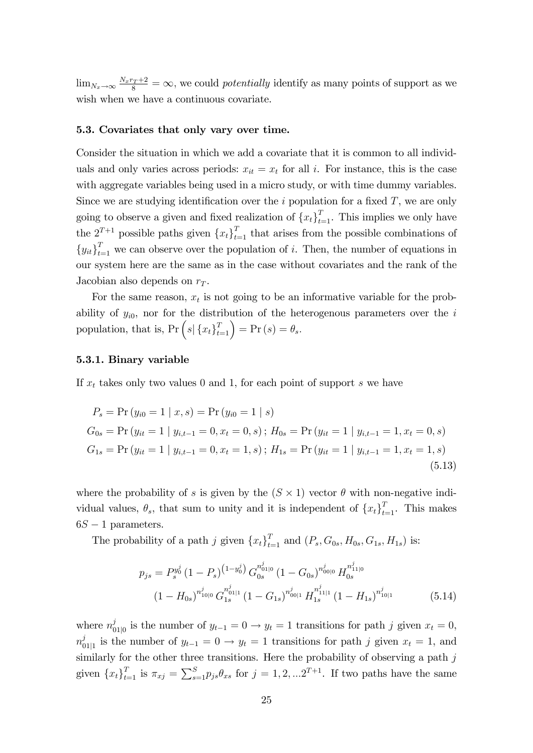$\lim_{N_x \to \infty} \frac{N_x r_T + 2}{8} = \infty$ , we could *potentially* identify as many points of support as we wish when we have a continuous covariate.

#### 5.3. Covariates that only vary over time.

Consider the situation in which we add a covariate that it is common to all individuals and only varies across periods:  $x_{it} = x_t$  for all i. For instance, this is the case with aggregate variables being used in a micro study, or with time dummy variables. Since we are studying identification over the  $i$  population for a fixed  $T$ , we are only going to observe a given and fixed realization of  $\{x_t\}_{t=1}^T$ . This implies we only have the  $2^{T+1}$  possible paths given  $\{x_t\}_{t=1}^T$  that arises from the possible combinations of  ${y_{it}}_{t=1}^T$  we can observe over the population of i. Then, the number of equations in our system here are the same as in the case without covariates and the rank of the Jacobian also depends on  $r<sub>T</sub>$ .

For the same reason,  $x_t$  is not going to be an informative variable for the probability of  $y_{i0}$ , nor for the distribution of the heterogenous parameters over the i population, that is,  $Pr\left(s | \{x_t\}_{t=1}^T\right) = Pr\left(s\right) = \theta_s.$ 

#### 5.3.1. Binary variable

If  $x_t$  takes only two values 0 and 1, for each point of support s we have

$$
P_s = \Pr(y_{i0} = 1 \mid x, s) = \Pr(y_{i0} = 1 \mid s)
$$
  
\n
$$
G_{0s} = \Pr(y_{it} = 1 \mid y_{i,t-1} = 0, x_t = 0, s); H_{0s} = \Pr(y_{it} = 1 \mid y_{i,t-1} = 1, x_t = 0, s)
$$
  
\n
$$
G_{1s} = \Pr(y_{it} = 1 \mid y_{i,t-1} = 0, x_t = 1, s); H_{1s} = \Pr(y_{it} = 1 \mid y_{i,t-1} = 1, x_t = 1, s)
$$
\n(5.13)

where the probability of s is given by the  $(S \times 1)$  vector  $\theta$  with non-negative individual values,  $\theta_s$ , that sum to unity and it is independent of  $\{x_t\}_{t=1}^T$ . This makes  $6S - 1$  parameters.

The probability of a path j given  $\{x_t\}_{t=1}^T$  and  $(P_s, G_{0s}, H_{0s}, G_{1s}, H_{1s})$  is:

$$
p_{js} = P_s^{y_0^j} (1 - P_s)^{(1 - y_0^j)} G_{0s}^{n_{01|0}^j} (1 - G_{0s})^{n_{00|0}^j} H_{0s}^{n_{11|0}^j}
$$
  

$$
(1 - H_{0s})^{n_{10|0}^j} G_{1s}^{n_{01|1}^j} (1 - G_{1s})^{n_{00|1}^j} H_{1s}^{n_{11|1}^j} (1 - H_{1s})^{n_{10|1}^j}
$$
(5.14)

where  $n_{0}^{j}$  $y_{01|0}$  is the number of  $y_{t-1} = 0 \rightarrow y_t = 1$  transitions for path j given  $x_t = 0$ ,  $n_0^j$  $\int_{01|1}^{j}$  is the number of  $y_{t-1} = 0 \rightarrow y_t = 1$  transitions for path j given  $x_t = 1$ , and similarly for the other three transitions. Here the probability of observing a path  $j$ given  ${x_t}_{t=1}^T$  is  $\pi_{x_j} = \sum_{s=1}^S p_{js}\theta_{xs}$  for  $j=1,2,...2^{T+1}$ . If two paths have the same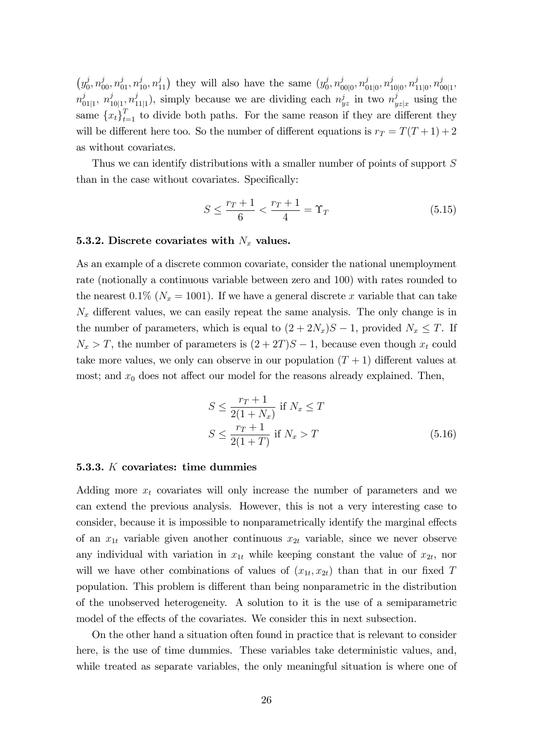$(y_0^j)$  $(v_0^j, n_{00}^j, n_{01}^j, n_{10}^j, n_{11}^j)$  they will also have the same  $(y_0^j)$  $j_0^j, n_0^j$  $^{j}_{00|0}, n^{j}_{0}$  $_{\left.01\right[0},n_{1}^{j}$  $j_{10|0}, n_1^j$  $j_{11|0}^j, n_0^j$  $\frac{j}{|00|1}$  $n_0^j$  $_{01|1}^{j}, n_1^j$  $\frac{j}{10|1}, n^{j}_{1}$  $j_{11|1}$ , simply because we are dividing each  $n_{yz}^j$  in two  $n_j^j$  $y_{z|x}$  using the same  ${x_t}_{t=1}^T$  to divide both paths. For the same reason if they are different they will be different here too. So the number of different equations is  $r_T = T(T + 1) + 2$ as without covariates.

Thus we can identify distributions with a smaller number of points of support S than in the case without covariates. Specifically:

$$
S \le \frac{r_T + 1}{6} < \frac{r_T + 1}{4} = \Upsilon_T \tag{5.15}
$$

#### 5.3.2. Discrete covariates with  $N_x$  values.

As an example of a discrete common covariate, consider the national unemployment rate (notionally a continuous variable between zero and 100) with rates rounded to the nearest 0.1% ( $N_x = 1001$ ). If we have a general discrete x variable that can take  $N_x$  different values, we can easily repeat the same analysis. The only change is in the number of parameters, which is equal to  $(2 + 2N_x)S - 1$ , provided  $N_x \leq T$ . If  $N_x > T$ , the number of parameters is  $(2+2T)S - 1$ , because even though  $x_t$  could take more values, we only can observe in our population  $(T + 1)$  different values at most; and  $x_0$  does not affect our model for the reasons already explained. Then,

$$
S \le \frac{r_T + 1}{2(1 + N_x)} \text{ if } N_x \le T
$$
  

$$
S \le \frac{r_T + 1}{2(1 + T)} \text{ if } N_x > T
$$
 (5.16)

#### 5.3.3.  $K$  covariates: time dummies

Adding more  $x_t$  covariates will only increase the number of parameters and we can extend the previous analysis. However, this is not a very interesting case to consider, because it is impossible to nonparametrically identify the marginal effects of an  $x_{1t}$  variable given another continuous  $x_{2t}$  variable, since we never observe any individual with variation in  $x_{1t}$  while keeping constant the value of  $x_{2t}$ , nor will we have other combinations of values of  $(x_{1t}, x_{2t})$  than that in our fixed T population. This problem is different than being nonparametric in the distribution of the unobserved heterogeneity. A solution to it is the use of a semiparametric model of the effects of the covariates. We consider this in next subsection.

On the other hand a situation often found in practice that is relevant to consider here, is the use of time dummies. These variables take deterministic values, and, while treated as separate variables, the only meaningful situation is where one of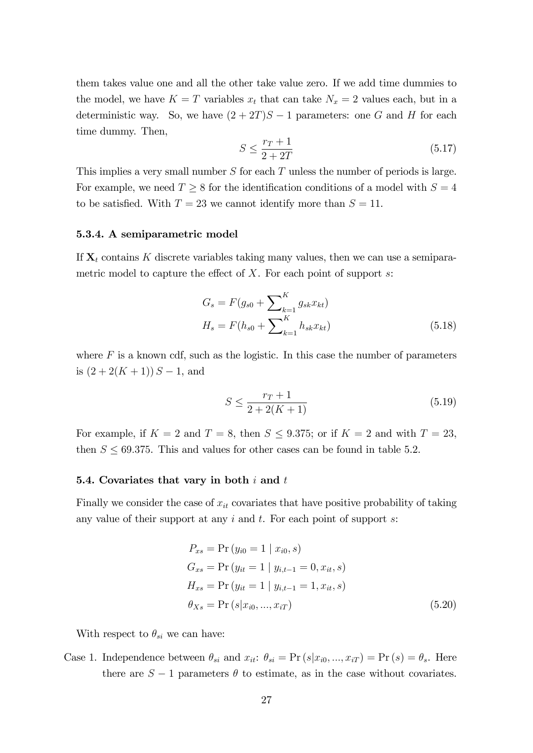them takes value one and all the other take value zero. If we add time dummies to the model, we have  $K = T$  variables  $x_t$  that can take  $N_x = 2$  values each, but in a deterministic way. So, we have  $(2+2T)S-1$  parameters: one G and H for each time dummy. Then,

$$
S \le \frac{r_T + 1}{2 + 2T} \tag{5.17}
$$

This implies a very small number  $S$  for each  $T$  unless the number of periods is large. For example, we need  $T \geq 8$  for the identification conditions of a model with  $S = 4$ to be satisfied. With  $T = 23$  we cannot identify more than  $S = 11$ .

#### 5.3.4. A semiparametric model

If  $X_t$  contains K discrete variables taking many values, then we can use a semiparametric model to capture the effect of  $X$ . For each point of support  $s$ :

$$
G_s = F(g_{s0} + \sum_{k=1}^{K} g_{sk} x_{kt})
$$
  

$$
H_s = F(h_{s0} + \sum_{k=1}^{K} h_{sk} x_{kt})
$$
(5.18)

where  $F$  is a known cdf, such as the logistic. In this case the number of parameters is  $(2 + 2(K + 1)) S - 1$ , and

$$
S \le \frac{r_T + 1}{2 + 2(K + 1)}\tag{5.19}
$$

For example, if  $K = 2$  and  $T = 8$ , then  $S \leq 9.375$ ; or if  $K = 2$  and with  $T = 23$ , then  $S \leq 69.375$ . This and values for other cases can be found in table 5.2.

#### 5.4. Covariates that vary in both  $i$  and  $t$

Finally we consider the case of  $x_{it}$  covariates that have positive probability of taking any value of their support at any  $i$  and  $t$ . For each point of support  $s$ :

$$
P_{xs} = \Pr(y_{i0} = 1 | x_{i0}, s)
$$
  
\n
$$
G_{xs} = \Pr(y_{it} = 1 | y_{i,t-1} = 0, x_{it}, s)
$$
  
\n
$$
H_{xs} = \Pr(y_{it} = 1 | y_{i,t-1} = 1, x_{it}, s)
$$
  
\n
$$
\theta_{Xs} = \Pr(s | x_{i0}, ..., x_{iT})
$$
\n(5.20)

With respect to  $\theta_{si}$  we can have:

Case 1. Independence between  $\theta_{si}$  and  $x_{it}$ :  $\theta_{si} = \Pr(s|x_{i0},...,x_{iT}) = \Pr(s) = \theta_{s}$ . Here there are  $S-1$  parameters  $\theta$  to estimate, as in the case without covariates.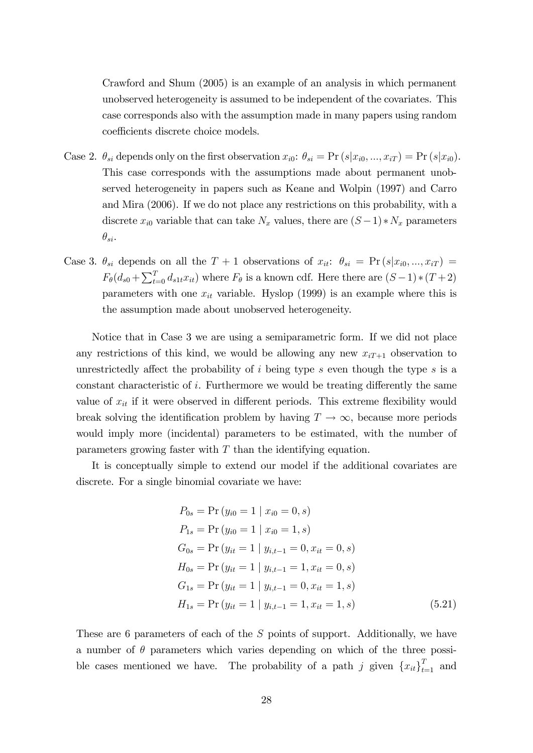Crawford and Shum (2005) is an example of an analysis in which permanent unobserved heterogeneity is assumed to be independent of the covariates. This case corresponds also with the assumption made in many papers using random coefficients discrete choice models.

- Case 2.  $\theta_{si}$  depends only on the first observation  $x_{i0}$ :  $\theta_{si} = \Pr(s|x_{i0}, ..., x_{iT}) = \Pr(s|x_{i0})$ . This case corresponds with the assumptions made about permanent unobserved heterogeneity in papers such as Keane and Wolpin (1997) and Carro and Mira (2006). If we do not place any restrictions on this probability, with a discrete  $x_{i0}$  variable that can take  $N_x$  values, there are  $(S-1)*N_x$  parameters  $\theta_{si}.$
- Case 3.  $\theta_{si}$  depends on all the  $T + 1$  observations of  $x_{it}$ :  $\theta_{si} = \Pr(s|x_{i0}, ..., x_{iT})$  $F_{\theta}(d_{s0} + \sum_{t=0}^{T} d_{s1t}x_{it})$  where  $F_{\theta}$  is a known cdf. Here there are  $(S-1)*(T+2)$ parameters with one  $x_{it}$  variable. Hyslop (1999) is an example where this is the assumption made about unobserved heterogeneity.

Notice that in Case 3 we are using a semiparametric form. If we did not place any restrictions of this kind, we would be allowing any new  $x_{iT+1}$  observation to unrestrictedly affect the probability of  $i$  being type s even though the type s is a constant characteristic of i. Furthermore we would be treating differently the same value of  $x_{it}$  if it were observed in different periods. This extreme flexibility would break solving the identification problem by having  $T \to \infty$ , because more periods would imply more (incidental) parameters to be estimated, with the number of parameters growing faster with  $T$  than the identifying equation.

It is conceptually simple to extend our model if the additional covariates are discrete. For a single binomial covariate we have:

$$
P_{0s} = \Pr(y_{i0} = 1 | x_{i0} = 0, s)
$$
  
\n
$$
P_{1s} = \Pr(y_{i0} = 1 | x_{i0} = 1, s)
$$
  
\n
$$
G_{0s} = \Pr(y_{it} = 1 | y_{i,t-1} = 0, x_{it} = 0, s)
$$
  
\n
$$
H_{0s} = \Pr(y_{it} = 1 | y_{i,t-1} = 1, x_{it} = 0, s)
$$
  
\n
$$
G_{1s} = \Pr(y_{it} = 1 | y_{i,t-1} = 0, x_{it} = 1, s)
$$
  
\n
$$
H_{1s} = \Pr(y_{it} = 1 | y_{i,t-1} = 1, x_{it} = 1, s)
$$
\n(5.21)

These are 6 parameters of each of the S points of support. Additionally, we have a number of  $\theta$  parameters which varies depending on which of the three possible cases mentioned we have. The probability of a path j given  $\{x_{it}\}_{t=1}^T$  and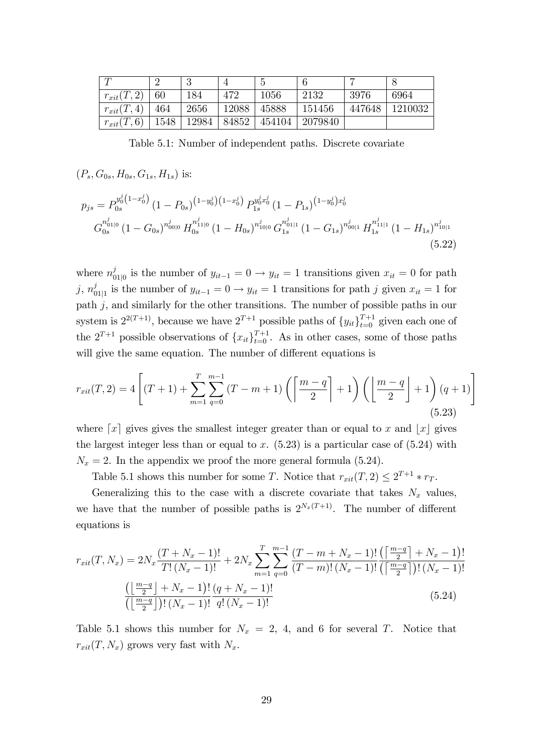| $\sqrt{ }$     |      | . )   |       | τJ     |         |        |         |
|----------------|------|-------|-------|--------|---------|--------|---------|
| $r_{xit}(T,2)$ | 60   | 184   | 472   | 1056   | 2132    | 3976   | 6964    |
| $r_{xit}(T,4)$ | 464  | 2656  | 12088 | 45888  | 151456  | 447648 | 1210032 |
| $r_{xit}(T,6)$ | 1548 | 12984 | 84852 | 454104 | 2079840 |        |         |

Table 5.1: Number of independent paths. Discrete covariate

$$
(P_s, G_{0s}, H_{0s}, G_{1s}, H_{1s})
$$
 is:

$$
p_{js} = P_{0s}^{y_0^j \left(1 - x_0^j\right)} \left(1 - P_{0s}\right)^{\left(1 - y_0^j\right)\left(1 - x_0^j\right)} P_{1s}^{y_0^j x_0^j} \left(1 - P_{1s}\right)^{\left(1 - y_0^j\right) x_0^j}
$$
\n
$$
G_{0s}^{n_{01|0}^j} \left(1 - G_{0s}\right)^{n_{00|0}^j} H_{0s}^{n_{11|0}^j} \left(1 - H_{0s}\right)^{n_{10|0}^j} G_{1s}^{n_{01|1}^j} \left(1 - G_{1s}\right)^{n_{00|1}^j} H_{1s}^{n_{11|1}^j} \left(1 - H_{1s}\right)^{n_{10|1}^j} \tag{5.22}
$$

where  $n_0^j$  $y_{01|0}$  is the number of  $y_{it-1} = 0 \rightarrow y_{it} = 1$  transitions given  $x_{it} = 0$  for path  $j, n_0^j$  $y_{01|1}$  is the number of  $y_{it-1} = 0 \rightarrow y_{it} = 1$  transitions for path j given  $x_{it} = 1$  for path  $j$ , and similarly for the other transitions. The number of possible paths in our system is  $2^{2(T+1)}$ , because we have  $2^{T+1}$  possible paths of  $\{y_{it}\}_{t=0}^{T+1}$  given each one of the  $2^{T+1}$  possible observations of  ${x_{it}}_{t=0}^{T+1}$ . As in other cases, some of those paths will give the same equation. The number of different equations is

$$
r_{xit}(T,2) = 4\left[ (T+1) + \sum_{m=1}^{T} \sum_{q=0}^{m-1} (T-m+1) \left( \left\lceil \frac{m-q}{2} \right\rceil + 1 \right) \left( \left\lfloor \frac{m-q}{2} \right\rfloor + 1 \right) (q+1) \right]
$$
\n(5.23)

where  $\lceil x \rceil$  gives gives the smallest integer greater than or equal to x and  $\lceil x \rceil$  gives the largest integer less than or equal to x.  $(5.23)$  is a particular case of  $(5.24)$  with  $N_x = 2$ . In the appendix we proof the more general formula (5.24).

Table 5.1 shows this number for some T. Notice that  $r_{xit}(T, 2) \leq 2^{T+1} * r_T$ .

Generalizing this to the case with a discrete covariate that takes  $N_x$  values, we have that the number of possible paths is  $2^{N_x(T+1)}$ . The number of different equations is

$$
r_{xit}(T, N_x) = 2N_x \frac{(T + N_x - 1)!}{T!(N_x - 1)!} + 2N_x \sum_{m=1}^{T} \sum_{q=0}^{m-1} \frac{(T - m + N_x - 1)!}{(T - m)!(N_x - 1)!} \frac{\left(\left[\frac{m-q}{2}\right] + N_x - 1\right)!}{\left(\left[\frac{m-q}{2}\right] + N_x - 1\right)!} \frac{\left(\left[\frac{m-q}{2}\right] + N_x - 1\right)!}{\left(\left[\frac{m-q}{2}\right] + (N_x - 1)\right!} \frac{\left(q + N_x - 1\right)!}{q!(N_x - 1)!} \tag{5.24}
$$

Table 5.1 shows this number for  $N_x = 2, 4$ , and 6 for several T. Notice that  $r_{xit}(T, N_x)$  grows very fast with  $N_x$ .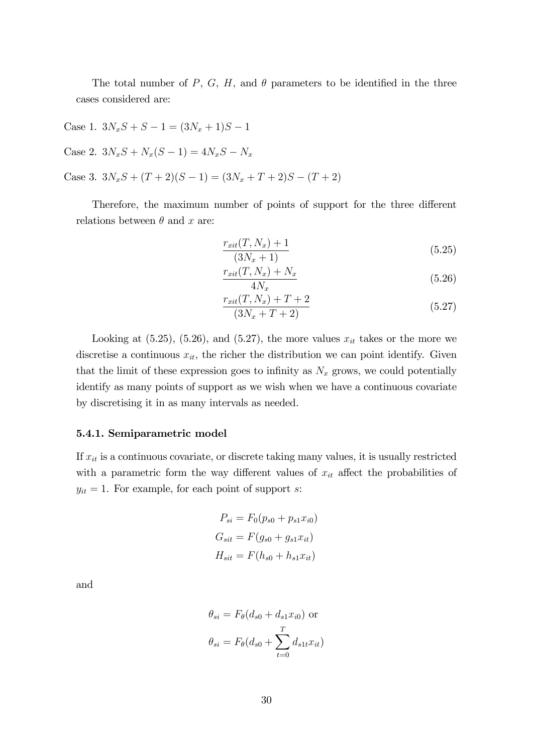The total number of P, G, H, and  $\theta$  parameters to be identified in the three cases considered are:

Case 1.  $3N_xS + S - 1 = (3N_x + 1)S - 1$ 

Case 2.  $3N_xS + N_x(S - 1) = 4N_xS - N_x$ 

Case 3.  $3N_xS + (T+2)(S-1) = (3N_x + T + 2)S - (T+2)$ 

Therefore, the maximum number of points of support for the three different relations between  $\theta$  and x are:

$$
\frac{r_{xit}(T, N_x) + 1}{(3N_x + 1)}
$$
\n(5.25)

$$
\frac{r_{xit}(T, N_x) + N_x}{4N_x} \tag{5.26}
$$

$$
\frac{r_{xit}(T, N_x) + T + 2}{(3N_x + T + 2)}
$$
(5.27)

Looking at  $(5.25)$ ,  $(5.26)$ , and  $(5.27)$ , the more values  $x_{it}$  takes or the more we discretise a continuous  $x_{it}$ , the richer the distribution we can point identify. Given that the limit of these expression goes to infinity as  $N_x$  grows, we could potentially identify as many points of support as we wish when we have a continuous covariate by discretising it in as many intervals as needed.

#### 5.4.1. Semiparametric model

If  $x_{it}$  is a continuous covariate, or discrete taking many values, it is usually restricted with a parametric form the way different values of  $x_{it}$  affect the probabilities of  $y_{it} = 1$ . For example, for each point of support s:

$$
P_{si} = F_0(p_{s0} + p_{s1}x_{i0})
$$
  
\n
$$
G_{sit} = F(g_{s0} + g_{s1}x_{it})
$$
  
\n
$$
H_{sit} = F(h_{s0} + h_{s1}x_{it})
$$

and

$$
\theta_{si} = F_{\theta}(d_{s0} + d_{s1}x_{i0})
$$
or  

$$
\theta_{si} = F_{\theta}(d_{s0} + \sum_{t=0}^{T} d_{s1t}x_{it})
$$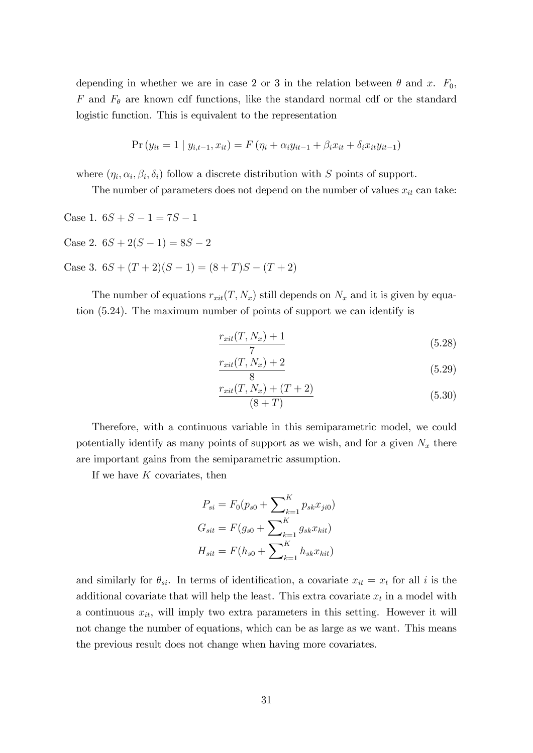depending in whether we are in case 2 or 3 in the relation between  $\theta$  and x.  $F_0$ , F and  $F_{\theta}$  are known cdf functions, like the standard normal cdf or the standard logistic function. This is equivalent to the representation

$$
\Pr(y_{it} = 1 \mid y_{i,t-1}, x_{it}) = F(\eta_i + \alpha_i y_{it-1} + \beta_i x_{it} + \delta_i x_{it} y_{it-1})
$$

where  $(\eta_i, \alpha_i, \beta_i, \delta_i)$  follow a discrete distribution with S points of support.

The number of parameters does not depend on the number of values  $x_{it}$  can take:

Case 1.  $6S + S - 1 = 7S - 1$ 

Case 2.  $6S + 2(S - 1) = 8S - 2$ 

Case 3.  $6S + (T + 2)(S - 1) = (8 + T)S - (T + 2)$ 

The number of equations  $r_{xit}(T, N_x)$  still depends on  $N_x$  and it is given by equation (5.24). The maximum number of points of support we can identify is

$$
\frac{r_{xit}(T, N_x) + 1}{7} \tag{5.28}
$$

$$
\frac{r_{xit}(T, N_x) + 2}{8} \tag{5.29}
$$

$$
\frac{r_{xit}(T, N_x) + (T + 2)}{(8 + T)}
$$
\n(5.30)

Therefore, with a continuous variable in this semiparametric model, we could potentially identify as many points of support as we wish, and for a given  $N_x$  there are important gains from the semiparametric assumption.

If we have  $K$  covariates, then

$$
P_{si} = F_0(p_{s0} + \sum_{k=1}^K p_{sk} x_{ji0})
$$
  
\n
$$
G_{sit} = F(g_{s0} + \sum_{k=1}^K g_{sk} x_{kit})
$$
  
\n
$$
H_{sit} = F(h_{s0} + \sum_{k=1}^K h_{sk} x_{kit})
$$

and similarly for  $\theta_{si}$ . In terms of identification, a covariate  $x_{it} = x_t$  for all i is the additional covariate that will help the least. This extra covariate  $x_t$  in a model with a continuous  $x_{it}$ , will imply two extra parameters in this setting. However it will not change the number of equations, which can be as large as we want. This means the previous result does not change when having more covariates.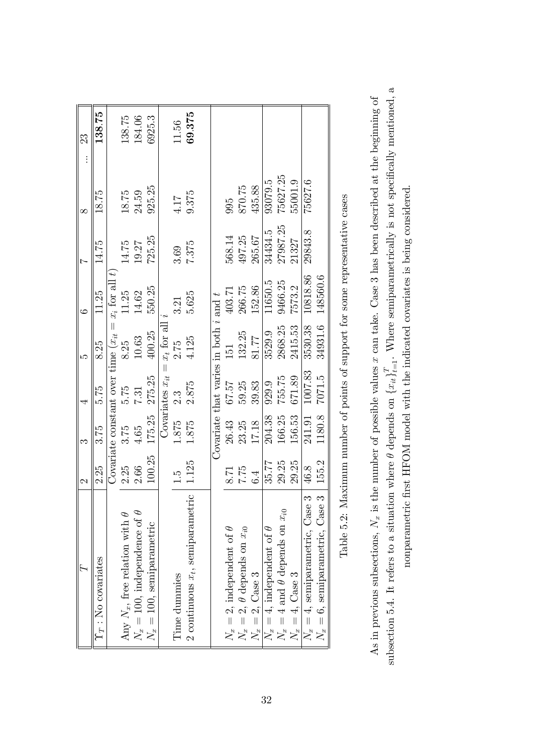| $\overline{r}$                                                                                        | $\mathcal{C}$ | ొ      |                                           | مد            | $\infty$                                                         |          | $\infty$ | 23     |
|-------------------------------------------------------------------------------------------------------|---------------|--------|-------------------------------------------|---------------|------------------------------------------------------------------|----------|----------|--------|
| $\Upsilon_T$ : No covariates                                                                          | 2.25          | 3.75   | 5.75                                      | 8.25          | 11.25                                                            | 14.75    | 18.75    | 138.75 |
|                                                                                                       |               |        |                                           |               | Covariate constant over time $(x_{it} = x_i \text{ for all } t)$ |          |          |        |
| Any $N_x$ , free relation with $\theta$                                                               | 2.25          | 3.75   | 5.75                                      | 8.25          | 11.25                                                            | 14.75    | 18.75    | 138.75 |
| $N_x=100$ , independence of $\theta$                                                                  | 2.66          | 4.65   | 7.31                                      | 10.63         | 14.62                                                            | 19.27    | 24.59    | 184.06 |
| $N_x = 100$ , semiparametric                                                                          | 100.25        | 175.25 | 275.25                                    | 400.25        | 550.25                                                           | 725.25   | 925.25   | 6925.3 |
|                                                                                                       |               |        | $\parallel$<br>Covariates $x_{it}$        | $x_t$ for all |                                                                  |          |          |        |
| Time dummies                                                                                          |               | 1.875  | $2.\overline{3}$                          | 2.75          | 3.21                                                             | 3.69     | 4.17     | 11.56  |
| 2 continuous $x_t$ , semiparametric                                                                   | 1.125         | 1.875  | 2.875                                     | 4.125         | 5.625                                                            | 7.375    | 9.375    | 69.375 |
|                                                                                                       |               |        |                                           |               |                                                                  |          |          |        |
|                                                                                                       |               |        | Covariate that varies in both $i$ and $t$ |               |                                                                  |          |          |        |
|                                                                                                       |               | 26.43  | <b>12.79</b>                              | 151           | 403.71                                                           | 568.14   | 995      |        |
|                                                                                                       | 7.75          | 23.25  | 59.25                                     | 132.25        | 266.75                                                           | 497.25   | 870.75   |        |
| $N_x = 2$ , independent of $\theta$<br>$N_x = 2$ , $\theta$ depends on $x_{i0}$<br>$N_x = 2$ , Case 3 | 6.4           | 17.18  | 39.83                                     | 81.77         | 152.86                                                           | 265.67   | 435.88   |        |
| $N_x=4$ , independent of $\theta$                                                                     | 35.77         | 204.38 | 929.9                                     | 3529.9        | 11650.5                                                          | 34434.5  | 93079.5  |        |
| $N_x = 4$ and $\theta$ depends on $x_{i0}$                                                            | 29.25         | 166.25 | 755.75                                    | 2868.25       | 9466.25                                                          | 27987.25 | 75627.25 |        |
| $N_x=4$ , Case 3                                                                                      | 29.25         | 156.53 | 671.89                                    | 2415.53       | 7573.2                                                           | 21327    | 55001.9  |        |
| $N_x = 4$ , semiparametric, Case                                                                      | 46.8          | 241.91 | 1007.83                                   | 3530.38       | 10818.86                                                         | 29843.8  | 75627.6  |        |
| $N_x = 6$ , semiparametric, Case                                                                      | 155.2         | 1180.8 | 7071.5                                    | 34931.6       | 148560.6                                                         |          |          |        |
|                                                                                                       |               |        |                                           |               |                                                                  |          |          |        |

| j                                               |
|-------------------------------------------------|
|                                                 |
|                                                 |
|                                                 |
|                                                 |
|                                                 |
| l                                               |
| )<br>2<br>5                                     |
| l<br>í                                          |
| j<br>Í                                          |
| j                                               |
| i                                               |
| ١                                               |
|                                                 |
| $\frac{1}{2}$<br>í                              |
|                                                 |
|                                                 |
| í                                               |
| I                                               |
|                                                 |
|                                                 |
|                                                 |
| į                                               |
| I                                               |
| har of points of support to the sono population |
|                                                 |
| $\frac{1}{2}$                                   |
|                                                 |
|                                                 |
| くうき ちょうこう<br>l                                  |
| i                                               |
|                                                 |
| i                                               |
| .<br>.<br>.<br>.<br>.<br>.                      |
|                                                 |
|                                                 |
| $\overline{a}$                                  |
| $\overline{a}$                                  |
| I                                               |
| ;<br>;                                          |
| $\overline{\phantom{a}}$<br>ì                   |

subsection 5.4. It refers to a situation where  $\theta$  depends on  $\{x_{it}\}_{t=1}^T$ . Where semiparametrically is not specifically mentioned, a subsection 5.4. It refers to a situation where  $\theta$  depends on  $\{x_{it}\}_{t=1}^T$ . Where semiparametrically is not specifically mentioned, a As in previous subsections,  $N_x$  is the number of possible values x can take. Case 3 has been described at the beginning of As in previous subsections,  $N_x$  is the number of possible values x can take. Case 3 has been described at the beginning of nonparametric first HFOM model with the indicated covariates is being considered. nonparametric first HFOM model with the indicated covariates is being considered.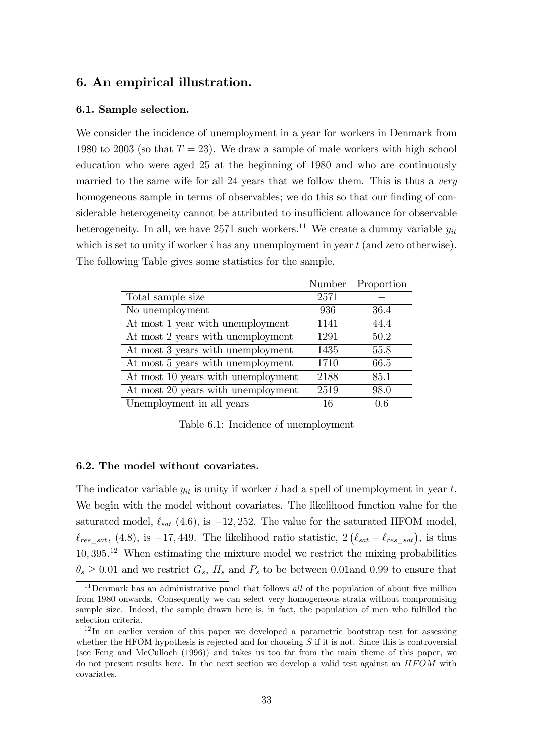# 6. An empirical illustration.

#### 6.1. Sample selection.

We consider the incidence of unemployment in a year for workers in Denmark from 1980 to 2003 (so that  $T = 23$ ). We draw a sample of male workers with high school education who were aged 25 at the beginning of 1980 and who are continuously married to the same wife for all 24 years that we follow them. This is thus a very homogeneous sample in terms of observables; we do this so that our finding of considerable heterogeneity cannot be attributed to insufficient allowance for observable heterogeneity. In all, we have 2571 such workers.<sup>11</sup> We create a dummy variable  $y_{it}$ which is set to unity if worker  $i$  has any unemployment in year  $t$  (and zero otherwise). The following Table gives some statistics for the sample.

|                                    | Number | Proportion |
|------------------------------------|--------|------------|
| Total sample size                  | 2571   |            |
| No unemployment                    | 936    | 36.4       |
| At most 1 year with unemployment   | 1141   | 44.4       |
| At most 2 years with unemployment  | 1291   | 50.2       |
| At most 3 years with unemployment  | 1435   | 55.8       |
| At most 5 years with unemployment  | 1710   | 66.5       |
| At most 10 years with unemployment | 2188   | 85.1       |
| At most 20 years with unemployment | 2519   | 98.0       |
| Unemployment in all years          | 16     | 0.6        |

Table 6.1: Incidence of unemployment

#### 6.2. The model without covariates.

The indicator variable  $y_{it}$  is unity if worker i had a spell of unemployment in year t. We begin with the model without covariates. The likelihood function value for the saturated model,  $\ell_{sat}$  (4.6), is  $-12, 252$ . The value for the saturated HFOM model,  $\ell_{res\_sat}$ , (4.8), is -17, 449. The likelihood ratio statistic,  $2(\ell_{sat} - \ell_{res\_sat})$ , is thus 10; 395. <sup>12</sup> When estimating the mixture model we restrict the mixing probabilities  $\theta_s \geq 0.01$  and we restrict  $G_s$ ,  $H_s$  and  $P_s$  to be between 0.01and 0.99 to ensure that

<sup>&</sup>lt;sup>11</sup>Denmark has an administrative panel that follows *all* of the population of about five million from 1980 onwards. Consequently we can select very homogeneous strata without compromising sample size. Indeed, the sample drawn here is, in fact, the population of men who fulfilled the selection criteria.

<sup>&</sup>lt;sup>12</sup>In an earlier version of this paper we developed a parametric bootstrap test for assessing whether the HFOM hypothesis is rejected and for choosing  $S$  if it is not. Since this is controversial (see Feng and McCulloch (1996)) and takes us too far from the main theme of this paper, we do not present results here. In the next section we develop a valid test against an  $HFOM$  with covariates.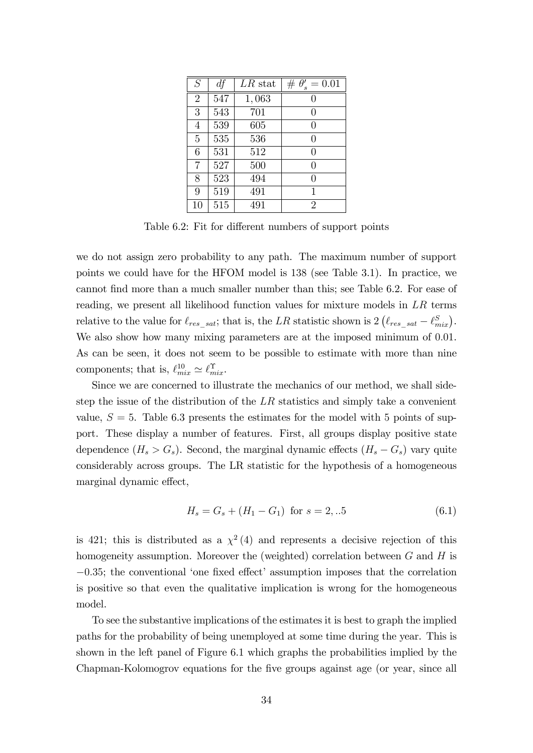| S              | df  | $LR$ stat | $# \theta'_{s} = 0.01$ |
|----------------|-----|-----------|------------------------|
| $\overline{2}$ | 547 | 1,063     | 0                      |
| 3              | 543 | 701       | $\left( \right)$       |
| 4              | 539 | 605       | 0                      |
| 5              | 535 | 536       | 0                      |
| 6              | 531 | 512       | 0                      |
| 7              | 527 | 500       | 0                      |
| 8              | 523 | 494       | 0                      |
| 9              | 519 | 491       | 1                      |
| 10             | 515 | 491       | $\overline{2}$         |

Table 6.2: Fit for different numbers of support points

we do not assign zero probability to any path. The maximum number of support points we could have for the HFOM model is 138 (see Table 3.1). In practice, we cannot find more than a much smaller number than this; see Table 6.2. For ease of reading, we present all likelihood function values for mixture models in LR terms relative to the value for  $\ell_{res\_sat}$ ; that is, the LR statistic shown is  $2(\ell_{res\_sat} - \ell_{mix}^S)$ . We also show how many mixing parameters are at the imposed minimum of 0.01. As can be seen, it does not seem to be possible to estimate with more than nine components; that is,  $\ell_{mix}^{10} \simeq \ell_{mix}^{\Upsilon}$ .

Since we are concerned to illustrate the mechanics of our method, we shall sidestep the issue of the distribution of the  $LR$  statistics and simply take a convenient value,  $S = 5$ . Table 6.3 presents the estimates for the model with 5 points of support. These display a number of features. First, all groups display positive state dependence  $(H_s > G_s)$ . Second, the marginal dynamic effects  $(H_s - G_s)$  vary quite considerably across groups. The LR statistic for the hypothesis of a homogeneous marginal dynamic effect,

$$
H_s = G_s + (H_1 - G_1) \text{ for } s = 2,..5
$$
 (6.1)

is 421; this is distributed as a  $\chi^2(4)$  and represents a decisive rejection of this homogeneity assumption. Moreover the (weighted) correlation between  $G$  and  $H$  is  $-0.35$ ; the conventional 'one fixed effect' assumption imposes that the correlation is positive so that even the qualitative implication is wrong for the homogeneous model.

To see the substantive implications of the estimates it is best to graph the implied paths for the probability of being unemployed at some time during the year. This is shown in the left panel of Figure 6.1 which graphs the probabilities implied by the Chapman-Kolomogrov equations for the five groups against age (or year, since all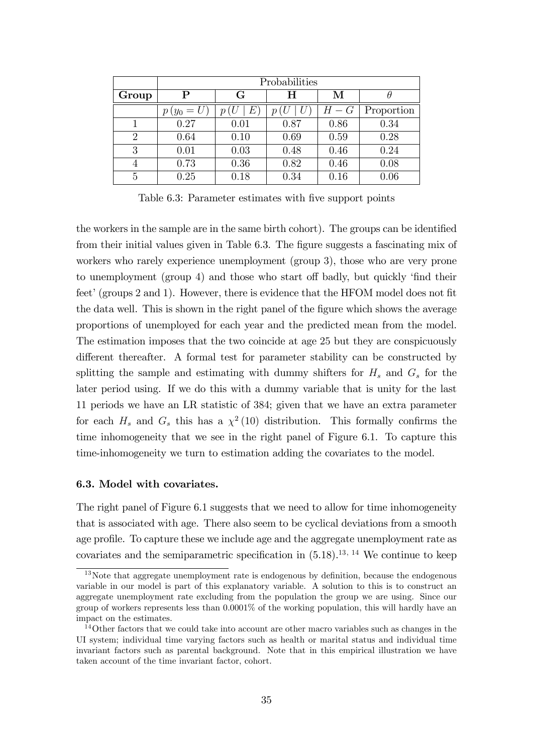|                | Probabilities |         |      |       |            |  |  |
|----------------|---------------|---------|------|-------|------------|--|--|
| Group          | P             | G       | н    | М     |            |  |  |
|                | $p(y_0 = U)$  | $\,E\,$ |      | $H-G$ | Proportion |  |  |
|                | 0.27          | 0.01    | 0.87 | 0.86  | 0.34       |  |  |
| $\overline{2}$ | 0.64          | 0.10    | 0.69 | 0.59  | 0.28       |  |  |
| 3              | 0.01          | 0.03    | 0.48 | 0.46  | 0.24       |  |  |
| 4              | 0.73          | 0.36    | 0.82 | 0.46  | 0.08       |  |  |
| 5              | 0.25          | 0.18    | 0.34 | 0.16  | 0.06       |  |  |

Table 6.3: Parameter estimates with five support points

the workers in the sample are in the same birth cohort). The groups can be identified from their initial values given in Table 6.3. The figure suggests a fascinating mix of workers who rarely experience unemployment (group 3), those who are very prone to unemployment (group 4) and those who start off badly, but quickly 'find their feet' (groups 2 and 1). However, there is evidence that the HFOM model does not fit the data well. This is shown in the right panel of the figure which shows the average proportions of unemployed for each year and the predicted mean from the model. The estimation imposes that the two coincide at age 25 but they are conspicuously different thereafter. A formal test for parameter stability can be constructed by splitting the sample and estimating with dummy shifters for  $H_s$  and  $G_s$  for the later period using. If we do this with a dummy variable that is unity for the last 11 periods we have an LR statistic of 384; given that we have an extra parameter for each  $H_s$  and  $G_s$  this has a  $\chi^2(10)$  distribution. This formally confirms the time inhomogeneity that we see in the right panel of Figure 6.1. To capture this time-inhomogeneity we turn to estimation adding the covariates to the model.

#### 6.3. Model with covariates.

The right panel of Figure 6.1 suggests that we need to allow for time inhomogeneity that is associated with age. There also seem to be cyclical deviations from a smooth age profile. To capture these we include age and the aggregate unemployment rate as covariates and the semiparametric specification in  $(5.18).^{13, 14}$  We continue to keep

 $13$ Note that aggregate unemployment rate is endogenous by definition, because the endogenous variable in our model is part of this explanatory variable. A solution to this is to construct an aggregate unemployment rate excluding from the population the group we are using. Since our group of workers represents less than 0.0001% of the working population, this will hardly have an impact on the estimates.

<sup>&</sup>lt;sup>14</sup>Other factors that we could take into account are other macro variables such as changes in the UI system; individual time varying factors such as health or marital status and individual time invariant factors such as parental background. Note that in this empirical illustration we have taken account of the time invariant factor, cohort.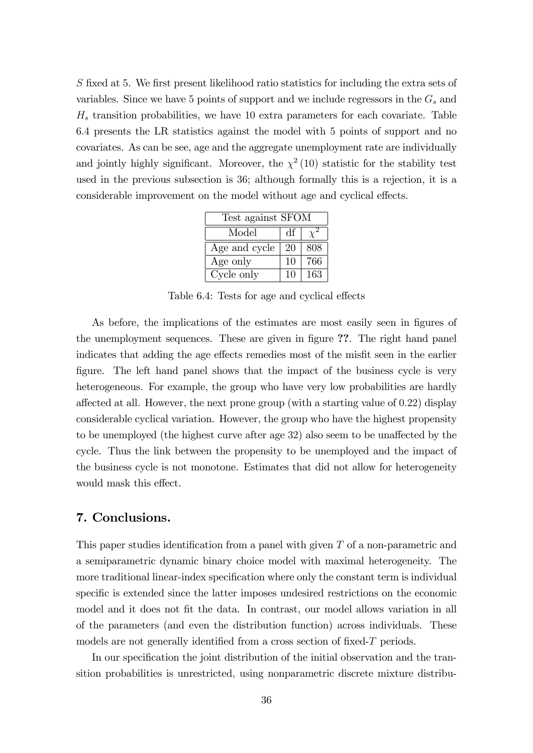S fixed at 5. We first present likelihood ratio statistics for including the extra sets of variables. Since we have 5 points of support and we include regressors in the  $G_s$  and  $H<sub>s</sub>$  transition probabilities, we have 10 extra parameters for each covariate. Table 6.4 presents the LR statistics against the model with 5 points of support and no covariates. As can be see, age and the aggregate unemployment rate are individually and jointly highly significant. Moreover, the  $\chi^2(10)$  statistic for the stability test used in the previous subsection is 36; although formally this is a rejection, it is a considerable improvement on the model without age and cyclical effects.

| Test against SFOM |    |     |
|-------------------|----|-----|
| Model             | df |     |
| Age and cycle     | 20 | 808 |
| Age only          | 10 | 766 |
| Cycle only        | 10 | 163 |

Table 6.4: Tests for age and cyclical effects

As before, the implications of the estimates are most easily seen in figures of the unemployment sequences. These are given in figure ??. The right hand panel indicates that adding the age effects remedies most of the misfit seen in the earlier figure. The left hand panel shows that the impact of the business cycle is very heterogeneous. For example, the group who have very low probabilities are hardly affected at all. However, the next prone group (with a starting value of 0.22) display considerable cyclical variation. However, the group who have the highest propensity to be unemployed (the highest curve after age 32) also seem to be unaffected by the cycle. Thus the link between the propensity to be unemployed and the impact of the business cycle is not monotone. Estimates that did not allow for heterogeneity would mask this effect.

# 7. Conclusions.

This paper studies identification from a panel with given  $T$  of a non-parametric and a semiparametric dynamic binary choice model with maximal heterogeneity. The more traditional linear-index specification where only the constant term is individual specific is extended since the latter imposes undesired restrictions on the economic model and it does not fit the data. In contrast, our model allows variation in all of the parameters (and even the distribution function) across individuals. These models are not generally identified from a cross section of fixed- $T$  periods.

In our specification the joint distribution of the initial observation and the transition probabilities is unrestricted, using nonparametric discrete mixture distribu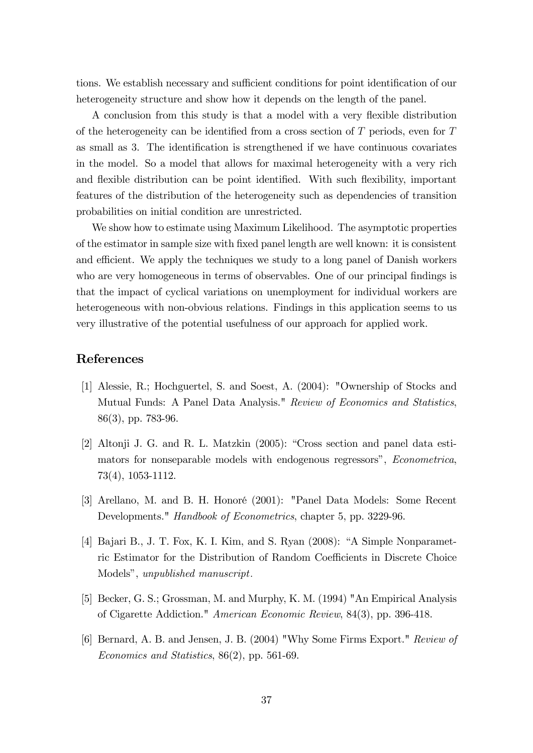tions. We establish necessary and sufficient conditions for point identification of our heterogeneity structure and show how it depends on the length of the panel.

A conclusion from this study is that a model with a very flexible distribution of the heterogeneity can be identified from a cross section of  $T$  periods, even for  $T$ as small as 3. The identification is strengthened if we have continuous covariates in the model. So a model that allows for maximal heterogeneity with a very rich and flexible distribution can be point identified. With such flexibility, important features of the distribution of the heterogeneity such as dependencies of transition probabilities on initial condition are unrestricted.

We show how to estimate using Maximum Likelihood. The asymptotic properties of the estimator in sample size with Öxed panel length are well known: it is consistent and efficient. We apply the techniques we study to a long panel of Danish workers who are very homogeneous in terms of observables. One of our principal findings is that the impact of cyclical variations on unemployment for individual workers are heterogeneous with non-obvious relations. Findings in this application seems to us very illustrative of the potential usefulness of our approach for applied work.

# References

- [1] Alessie, R.; Hochguertel, S. and Soest, A. (2004): "Ownership of Stocks and Mutual Funds: A Panel Data Analysis." Review of Economics and Statistics, 86(3), pp. 783-96.
- [2] Altonji J. G. and R. L. Matzkin  $(2005)$ : "Cross section and panel data estimators for nonseparable models with endogenous regressors", *Econometrica*, 73(4), 1053-1112.
- [3] Arellano, M. and B. H. HonorÈ (2001): "Panel Data Models: Some Recent Developments." Handbook of Econometrics, chapter 5, pp. 3229-96.
- [4] Bajari B., J. T. Fox, K. I. Kim, and S. Ryan  $(2008)$ : "A Simple Nonparametric Estimator for the Distribution of Random Coefficients in Discrete Choice Models", unpublished manuscript.
- [5] Becker, G. S.; Grossman, M. and Murphy, K. M. (1994) "An Empirical Analysis of Cigarette Addiction." American Economic Review, 84(3), pp. 396-418.
- [6] Bernard, A. B. and Jensen, J. B. (2004) "Why Some Firms Export." Review of Economics and Statistics, 86(2), pp. 561-69.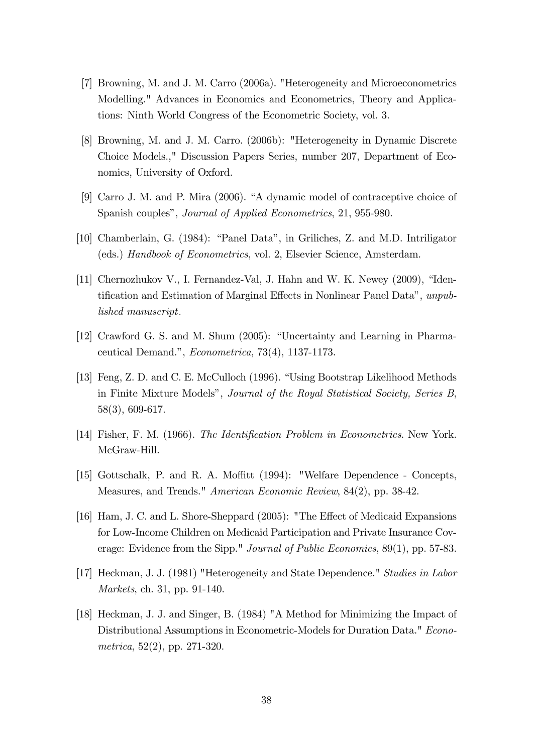- [7] Browning, M. and J. M. Carro (2006a). "Heterogeneity and Microeconometrics Modelling." Advances in Economics and Econometrics, Theory and Applications: Ninth World Congress of the Econometric Society, vol. 3.
- [8] Browning, M. and J. M. Carro. (2006b): "Heterogeneity in Dynamic Discrete Choice Models.," Discussion Papers Series, number 207, Department of Economics, University of Oxford.
- [9] Carro J. M. and P. Mira  $(2006)$ . "A dynamic model of contraceptive choice of Spanish couples", *Journal of Applied Econometrics*, 21, 955-980.
- [10] Chamberlain, G. (1984): "Panel Data", in Griliches, Z. and M.D. Intriligator (eds.) Handbook of Econometrics, vol. 2, Elsevier Science, Amsterdam.
- [11] Chernozhukov V., I. Fernandez-Val, J. Hahn and W. K. Newey  $(2009)$ , "Identification and Estimation of Marginal Effects in Nonlinear Panel Data", unpublished manuscript.
- [12] Crawford G. S. and M. Shum (2005): "Uncertainty and Learning in Pharmaceutical Demand.",  $Econometrica$ , 73(4), 1137-1173.
- [13] Feng, Z. D. and C. E. McCulloch (1996). "Using Bootstrap Likelihood Methods in Finite Mixture Modelsî, Journal of the Royal Statistical Society, Series B, 58(3), 609-617.
- [14] Fisher, F. M. (1966). The Identification Problem in Econometrics. New York. McGraw-Hill.
- [15] Gottschalk, P. and R. A. Moffitt (1994): "Welfare Dependence Concepts, Measures, and Trends." American Economic Review, 84(2), pp. 38-42.
- [16] Ham, J. C. and L. Shore-Sheppard (2005): "The Effect of Medicaid Expansions for Low-Income Children on Medicaid Participation and Private Insurance Coverage: Evidence from the Sipp." Journal of Public Economics, 89(1), pp. 57-83.
- [17] Heckman, J. J. (1981) "Heterogeneity and State Dependence." Studies in Labor Markets, ch. 31, pp. 91-140.
- [18] Heckman, J. J. and Singer, B. (1984) "A Method for Minimizing the Impact of Distributional Assumptions in Econometric-Models for Duration Data." Econometrica, 52(2), pp. 271-320.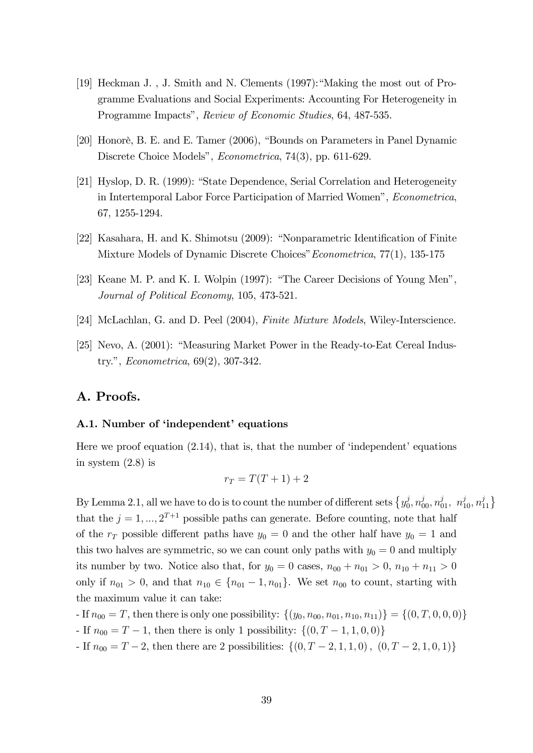- [19] Heckman J., J. Smith and N. Clements  $(1997)$ : "Making the most out of Programme Evaluations and Social Experiments: Accounting For Heterogeneity in Programme Impacts", Review of Economic Studies, 64, 487-535.
- $[20]$  Honorè, B. E. and E. Tamer  $(2006)$ , "Bounds on Parameters in Panel Dynamic Discrete Choice Models", *Econometrica*, 74(3), pp. 611-629.
- [21] Hyslop, D. R. (1999): "State Dependence, Serial Correlation and Heterogeneity in Intertemporal Labor Force Participation of Married Womenî, Econometrica, 67, 1255-1294.
- [22] Kasahara, H. and K. Shimotsu (2009): "Nonparametric Identification of Finite Mixture Models of Dynamic Discrete Choices" Econometrica, 77(1), 135-175
- [23] Keane M. P. and K. I. Wolpin (1997): "The Career Decisions of Young Men", Journal of Political Economy, 105, 473-521.
- [24] McLachlan, G. and D. Peel (2004), Finite Mixture Models, Wiley-Interscience.
- [25] Nevo, A.  $(2001)$ : "Measuring Market Power in the Ready-to-Eat Cereal Industry.", *Econometrica*,  $69(2)$ ,  $307-342$ .

# A. Proofs.

#### A.1. Number of 'independent' equations

Here we proof equation  $(2.14)$ , that is, that the number of 'independent' equations in system (2.8) is

$$
r_T = T(T+1) + 2
$$

By Lemma 2.1, all we have to do is to count the number of different sets  $\{y_0^j\}$  $\left\{ \vec{q}_{0},n_{00}^{j},n_{01}^{j},n_{10}^{j},n_{11}^{j}\right\}$ that the  $j = 1, ..., 2^{T+1}$  possible paths can generate. Before counting, note that half of the  $r_T$  possible different paths have  $y_0 = 0$  and the other half have  $y_0 = 1$  and this two halves are symmetric, so we can count only paths with  $y_0 = 0$  and multiply its number by two. Notice also that, for  $y_0 = 0$  cases,  $n_{00} + n_{01} > 0$ ,  $n_{10} + n_{11} > 0$ only if  $n_{01} > 0$ , and that  $n_{10} \in \{n_{01} - 1, n_{01}\}$ . We set  $n_{00}$  to count, starting with the maximum value it can take:

- If  $n_{00} = T$ , then there is only one possibility:  $\{(y_0, n_{00}, n_{01}, n_{10}, n_{11})\} = \{(0, T, 0, 0, 0)\}$
- If  $n_{00} = T 1$ , then there is only 1 possibility:  $\{(0, T 1, 1, 0, 0)\}\$
- If  $n_{00} = T 2$ , then there are 2 possibilities:  $\{(0, T 2, 1, 1, 0), (0, T 2, 1, 0, 1)\}\$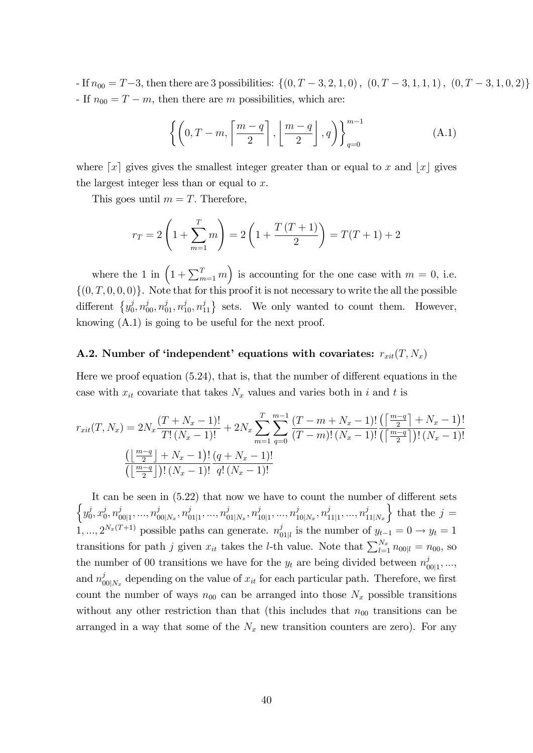- If  $n_{00} = T-3$ , then there are 3 possibilities:  $\{(0, T-3, 2, 1, 0), (0, T-3, 1, 1, 1), (0, T-3, 1, 0, 2)\}\$ - If  $n_{00} = T - m$ , then there are m possibilities, which are:

$$
\left\{ \left(0, T-m, \left\lceil \frac{m-q}{2} \right\rceil, \left\lfloor \frac{m-q}{2} \right\rfloor, q\right) \right\}_{q=0}^{m-1}
$$
 (A.1)

where  $\lceil x \rceil$  gives gives the smallest integer greater than or equal to x and  $\lceil x \rceil$  gives the largest integer less than or equal to  $x$ .

This goes until  $m = T$ . Therefore,

$$
r_T = 2\left(1 + \sum_{m=1}^T m\right) = 2\left(1 + \frac{T(T+1)}{2}\right) = T(T+1) + 2
$$

where the 1 in  $(1 + \sum_{m=1}^{T} m)$  is accounting for the one case with  $m = 0$ , i.e.  $\{(0,T,0,0,0)\}\.$  Note that for this proof it is not necessary to write the all the possible different  $\{y_0^j\}$  $\left\{ \begin{array}{c} j, n_{00}^j, n_{01}^j, n_{10}^j, n_{11}^j \end{array} \right\}$  sets. We only wanted to count them. However, knowing (A.1) is going to be useful for the next proof.

### A.2. Number of 'independent' equations with covariates:  $r_{xit}(T, N_x)$

Here we proof equation  $(5.24)$ , that is, that the number of different equations in the case with  $x_{it}$  covariate that takes  $N_x$  values and varies both in i and t is

$$
r_{xit}(T, N_x) = 2N_x \frac{(T + N_x - 1)!}{T!(N_x - 1)!} + 2N_x \sum_{m=1}^{T} \sum_{q=0}^{m-1} \frac{(T - m + N_x - 1)!}{(T - m)!(N_x - 1)!} \frac{\left(\left[\frac{m-q}{2}\right] + N_x - 1\right)!}{\left(\left[\frac{m-q}{2}\right] + N_x - 1\right)!} \frac{\left(q + N_x - 1\right)!}{q!(N_x - 1)!}
$$
  

$$
\frac{\left(\left\lfloor\frac{m-q}{2}\right\rfloor + N_x - 1\right)!}{\left(\left\lfloor\frac{m-q}{2}\right\rfloor\right)!(N_x - 1)!} \frac{\left(q + N_x - 1\right)!}{q!(N_x - 1)!}
$$

It can be seen in  $(5.22)$  that now we have to count the number of different sets  $\big\{y_0^j\$  $j\atop 0,x_0^j$  $_{0}^{j},n_{0}^{j}$  $\frac{j}{00|1},...,\overline{n}_0^j$  $_{00|N_x}^j, n_0^j$  $j_{01|1}^j, ..., n_0^j$  $_{01\mid N_x}^j, n_1^j$  $i_{10|1}$ , ...,  $n_1^j$  $j_{10\vert N_x},n_1^j$  $\frac{j}{11|1},...,\overline{n}_1^j$  $11|N_x$ } that the  $j =$  $1, ..., 2^{N_x(T+1)}$  possible paths can generate.  $n_f^j$  $y_{01|l}$  is the number of  $y_{t-1} = 0 \rightarrow y_t = 1$ transitions for path j given  $x_{it}$  takes the *l*-th value. Note that  $\sum_{l=1}^{N_x} n_{00|l} = n_{00}$ , so the number of 00 transitions we have for the  $y_t$  are being divided between  $n_c^j$  $\frac{\partial}{\partial 0}$ <sub>1</sub>, ..., and  $n_{0}^{j}$  $\int_{00|N_x}^j$  depending on the value of  $x_{it}$  for each particular path. Therefore, we first count the number of ways  $n_{00}$  can be arranged into those  $N_x$  possible transitions without any other restriction than that (this includes that  $n_{00}$  transitions can be arranged in a way that some of the  $N_x$  new transition counters are zero). For any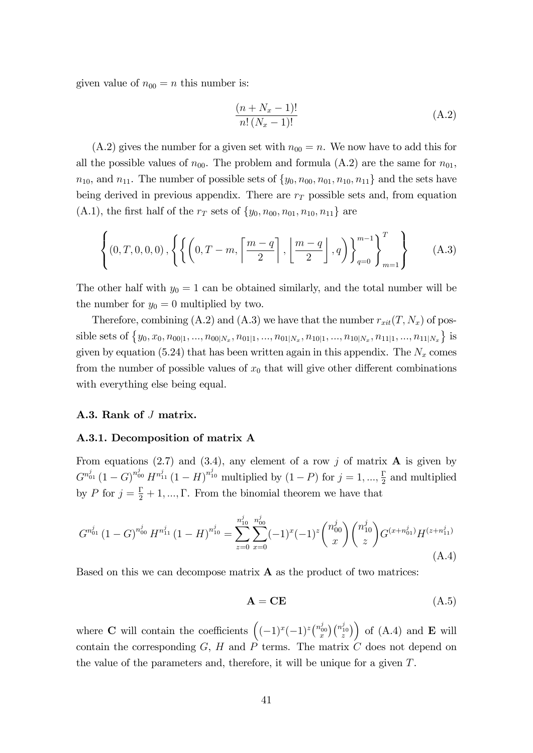given value of  $n_{00} = n$  this number is:

$$
\frac{(n+N_x-1)!}{n!\,(N_x-1)!}
$$
\n(A.2)

 $(A.2)$  gives the number for a given set with  $n_{00} = n$ . We now have to add this for all the possible values of  $n_{00}$ . The problem and formula (A.2) are the same for  $n_{01}$ ,  $n_{10}$ , and  $n_{11}$ . The number of possible sets of  $\{y_0, n_{00}, n_{01}, n_{10}, n_{11}\}$  and the sets have being derived in previous appendix. There are  $r<sub>T</sub>$  possible sets and, from equation (A.1), the first half of the  $r_T$  sets of  $\{y_0, n_{00}, n_{01}, n_{10}, n_{11}\}\$  are

$$
\left\{ \left(0, T, 0, 0, 0\right), \left\{ \left\{ \left(0, T - m, \left\lceil \frac{m - q}{2} \right\rceil, \left\lfloor \frac{m - q}{2} \right\rfloor, q\right) \right\}_{q = 0}^{m - 1} \right\}_{m = 1}^{T} \right\} \tag{A.3}
$$

The other half with  $y_0 = 1$  can be obtained similarly, and the total number will be the number for  $y_0 = 0$  multiplied by two.

Therefore, combining (A.2) and (A.3) we have that the number  $r_{xit}(T, N_x)$  of possible sets of  $\{y_0, x_0, n_{00|1}, ..., n_{00|N_x}, n_{01|1}, ..., n_{01|N_x}, n_{10|1}, ..., n_{10|N_x}, n_{11|1}, ..., n_{11|N_x}\}$  is given by equation (5.24) that has been written again in this appendix. The  $N_x$  comes from the number of possible values of  $x_0$  that will give other different combinations with everything else being equal.

### A.3. Rank of J matrix.

#### A.3.1. Decomposition of matrix A

From equations (2.7) and (3.4), any element of a row j of matrix  $\bf{A}$  is given by  $G^{n_{01}^j} (1-G)^{n_{00}^j} H^{n_{11}^j} (1-H)^{n_{10}^j}$  multiplied by  $(1-P)$  for  $j=1,...,\frac{\Gamma}{2}$  $\frac{1}{2}$  and multiplied by P for  $j = \frac{\Gamma}{2} + 1, ..., \Gamma$ . From the binomial theorem we have that

$$
G^{n_{01}^{j}}(1-G)^{n_{00}^{j}}H^{n_{11}^{j}}(1-H)^{n_{10}^{j}} = \sum_{z=0}^{n_{10}^{j}}\sum_{x=0}^{n_{00}^{j}}(-1)^{x}(-1)^{z}\binom{n_{00}^{j}}{x}\binom{n_{10}^{j}}{z}G^{(x+n_{01}^{j})}H^{(z+n_{11}^{j})}
$$
\n(A.4)

Based on this we can decompose matrix  $\bf{A}$  as the product of two matrices:

$$
\mathbf{A} = \mathbf{CE} \tag{A.5}
$$

where **C** will contain the coefficients  $((-1)^x(-1)^z{\binom{n_{00}^j}{x}}{\binom{n_{10}^j}{z}})$  of (A.4) and **E** will contain the corresponding  $G, H$  and  $P$  terms. The matrix  $C$  does not depend on the value of the parameters and, therefore, it will be unique for a given T.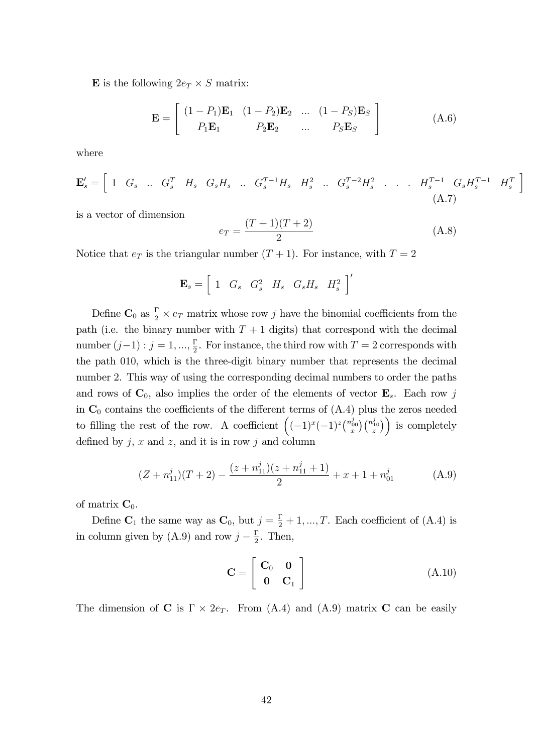**E** is the following  $2e_T \times S$  matrix:

$$
\mathbf{E} = \begin{bmatrix} (1 - P_1)\mathbf{E}_1 & (1 - P_2)\mathbf{E}_2 & \dots & (1 - P_S)\mathbf{E}_S \\ P_1\mathbf{E}_1 & P_2\mathbf{E}_2 & \dots & P_S\mathbf{E}_S \end{bmatrix}
$$
(A.6)

where

$$
\mathbf{E}'_s = \begin{bmatrix} 1 & G_s & \dots & G_s^T & H_s & G_s H_s & \dots & G_s^{T-1} H_s & H_s^2 & \dots & G_s^{T-2} H_s^2 & \dots & \dots & H_s^{T-1} & G_s H_s^{T-1} & H_s^T \end{bmatrix}
$$
\n(A.7)

is a vector of dimension

$$
e_T = \frac{(T+1)(T+2)}{2} \tag{A.8}
$$

i

Notice that  $e_T$  is the triangular number  $(T + 1)$ . For instance, with  $T = 2$ 

$$
\mathbf{E}_s = \left[ \begin{array}{cccc} 1 & G_s & G_s^2 & H_s & G_s H_s & H_s^2 \end{array} \right]'
$$

Define  $\mathbf{C}_0$  as  $\frac{\Gamma}{2} \times e_T$  matrix whose row j have the binomial coefficients from the path (i.e. the binary number with  $T + 1$  digits) that correspond with the decimal number  $(j-1)$  :  $j = 1, ..., \frac{\Gamma}{2}$  $\frac{1}{2}$ . For instance, the third row with  $T = 2$  corresponds with the path 010, which is the three-digit binary number that represents the decimal number 2. This way of using the corresponding decimal numbers to order the paths and rows of  $\mathbf{C}_0$ , also implies the order of the elements of vector  $\mathbf{E}_s$ . Each row j in  $\mathbb{C}_0$  contains the coefficients of the different terms of  $(A.4)$  plus the zeros needed to filling the rest of the row. A coefficient  $((-1)^x(-1)^z\binom{n_{00}^j}{x}\binom{n_{10}^j}{z}$  is completely defined by  $j, x$  and  $z$ , and it is in row  $j$  and column

$$
(Z + n_{11}^j)(T + 2) - \frac{(z + n_{11}^j)(z + n_{11}^j + 1)}{2} + x + 1 + n_{01}^j
$$
 (A.9)

of matrix  $\mathbf{C}_0$ .

Define  $\mathbf{C}_1$  the same way as  $\mathbf{C}_0$ , but  $j = \frac{\Gamma}{2} + 1, ..., T$ . Each coefficient of (A.4) is in column given by (A.9) and row  $j - \frac{\Gamma}{2}$  $\frac{1}{2}$ . Then,

$$
\mathbf{C} = \left[ \begin{array}{cc} \mathbf{C}_0 & \mathbf{0} \\ \mathbf{0} & \mathbf{C}_1 \end{array} \right] \tag{A.10}
$$

The dimension of **C** is  $\Gamma \times 2e_T$ . From (A.4) and (A.9) matrix **C** can be easily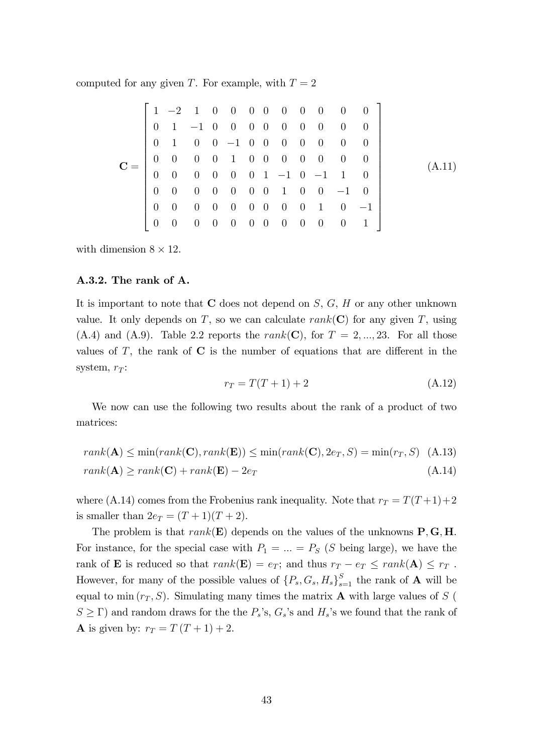computed for any given T. For example, with  $T = 2$ 

$$
\mathbf{C} = \begin{bmatrix} 1 & -2 & 1 & 0 & 0 & 0 & 0 & 0 & 0 & 0 & 0 & 0 \\ 0 & 1 & -1 & 0 & 0 & 0 & 0 & 0 & 0 & 0 & 0 & 0 \\ 0 & 1 & 0 & 0 & -1 & 0 & 0 & 0 & 0 & 0 & 0 & 0 \\ 0 & 0 & 0 & 0 & 1 & 0 & 0 & 0 & 0 & 0 & 0 & 0 \\ 0 & 0 & 0 & 0 & 0 & 0 & 1 & -1 & 0 & -1 & 1 & 0 \\ 0 & 0 & 0 & 0 & 0 & 0 & 0 & 1 & 0 & 0 & -1 & 0 \\ 0 & 0 & 0 & 0 & 0 & 0 & 0 & 0 & 0 & 0 & 0 & 1 \end{bmatrix}
$$
(A.11)

with dimension  $8 \times 12$ .

#### A.3.2. The rank of A.

It is important to note that  $C$  does not depend on  $S, G, H$  or any other unknown value. It only depends on T, so we can calculate  $rank(C)$  for any given T, using  $(A.4)$  and  $(A.9)$ . Table 2.2 reports the rank(C), for  $T = 2, ..., 23$ . For all those values of  $T$ , the rank of  $C$  is the number of equations that are different in the system,  $r_T$ :

$$
r_T = T(T+1) + 2 \tag{A.12}
$$

We now can use the following two results about the rank of a product of two matrices:

$$
rank(\mathbf{A}) \le \min(rank(\mathbf{C}), rank(\mathbf{E})) \le \min(rank(\mathbf{C}), 2e_T, S) = \min(r_T, S)
$$
 (A.13)  

$$
rank(\mathbf{A}) \ge rank(\mathbf{C}) + rank(\mathbf{E}) - 2e_T
$$
 (A.14)

where (A.14) comes from the Frobenius rank inequality. Note that  $r_T = T(T+1)+2$ is smaller than  $2e_T = (T+1)(T+2)$ .

The problem is that  $rank(\mathbf{E})$  depends on the values of the unknowns  $\mathbf{P}, \mathbf{G}, \mathbf{H}$ . For instance, for the special case with  $P_1 = \ldots = P_S$  (S being large), we have the rank of **E** is reduced so that  $rank(\mathbf{E}) = e_T$ ; and thus  $r_T - e_T \leq rank(\mathbf{A}) \leq r_T$ . However, for many of the possible values of  $\{P_s, G_s, H_s\}_{s=1}^S$  the rank of **A** will be equal to min  $(r_T, S)$ . Simulating many times the matrix **A** with large values of S (  $S \geq \Gamma$ ) and random draws for the the  $P_s$ 's,  $G_s$ 's and  $H_s$ 's we found that the rank of **A** is given by:  $r_T = T(T + 1) + 2$ .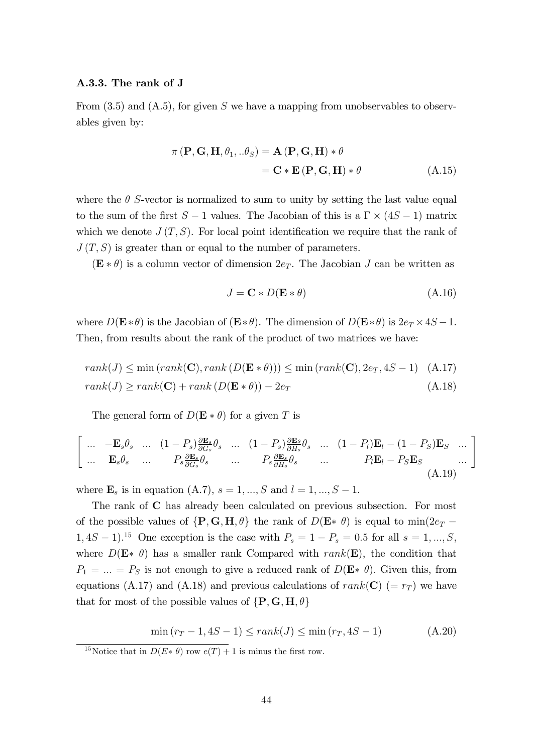#### A.3.3. The rank of J

From  $(3.5)$  and  $(A.5)$ , for given S we have a mapping from unobservables to observables given by:

$$
\pi(\mathbf{P}, \mathbf{G}, \mathbf{H}, \theta_1, \ldots \theta_S) = \mathbf{A}(\mathbf{P}, \mathbf{G}, \mathbf{H}) * \theta
$$

$$
= \mathbf{C} * \mathbf{E}(\mathbf{P}, \mathbf{G}, \mathbf{H}) * \theta
$$
(A.15)

where the  $\theta$  S-vector is normalized to sum to unity by setting the last value equal to the sum of the first  $S-1$  values. The Jacobian of this is a  $\Gamma \times (4S-1)$  matrix which we denote  $J(T, S)$ . For local point identification we require that the rank of  $J(T, S)$  is greater than or equal to the number of parameters.

 $(\mathbf{E} * \theta)$  is a column vector of dimension  $2e_T$ . The Jacobian J can be written as

$$
J = \mathbf{C} * D(\mathbf{E} * \theta) \tag{A.16}
$$

where  $D(\mathbf{E} * \theta)$  is the Jacobian of  $(\mathbf{E} * \theta)$ . The dimension of  $D(\mathbf{E} * \theta)$  is  $2e_T \times 4S - 1$ . Then, from results about the rank of the product of two matrices we have:

$$
rank(J) \le \min(rank(\mathbf{C}), rank(D(\mathbf{E} * \theta))) \le \min(rank(\mathbf{C}), 2e_T, 4S - 1)
$$
 (A.17)  

$$
rank(J) \ge rank(\mathbf{C}) + rank(D(\mathbf{E} * \theta)) - 2e_T
$$
 (A.18)

The general form of  $D(\mathbf{E} * \theta)$  for a given T is

$$
\begin{bmatrix}\n\ldots & -\mathbf{E}_s \theta_s & \ldots & (1 - P_s) \frac{\partial \mathbf{E}_s}{\partial G_s} \theta_s & \ldots & (1 - P_s) \frac{\partial \mathbf{E}_s}{\partial H_s} \theta_s & \ldots & (1 - P_l) \mathbf{E}_l - (1 - P_S) \mathbf{E}_S & \ldots \\
\ldots & \mathbf{E}_s \theta_s & \ldots & P_s \frac{\partial \mathbf{E}_s}{\partial G_s} \theta_s & \ldots & P_s \frac{\partial \mathbf{E}_s}{\partial H_s} \theta_s & \ldots & P_l \mathbf{E}_l - P_S \mathbf{E}_S & \ldots\n\end{bmatrix}
$$
\n(A.19)

where  $\mathbf{E}_s$  is in equation (A.7),  $s = 1, ..., S$  and  $l = 1, ..., S - 1$ .

The rank of C has already been calculated on previous subsection. For most of the possible values of  $\{P, G, H, \theta\}$  the rank of  $D(E * \theta)$  is equal to min $(2e_T 1,4S-1$ <sup>15</sup> One exception is the case with  $P_s = 1 - P_s = 0.5$  for all  $s = 1, ..., S$ , where  $D(E * \theta)$  has a smaller rank Compared with rank(E), the condition that  $P_1 = ... = P_S$  is not enough to give a reduced rank of  $D(\mathbf{E} * \theta)$ . Given this, from equations (A.17) and (A.18) and previous calculations of rank(C) (=  $r_T$ ) we have that for most of the possible values of  $\{P, G, H, \theta\}$ 

$$
\min\left(r_T - 1, 4S - 1\right) \le \text{rank}(J) \le \min\left(r_T, 4S - 1\right) \tag{A.20}
$$

<sup>&</sup>lt;sup>15</sup>Notice that in  $D(E * \theta)$  row  $e(T) + 1$  is minus the first row.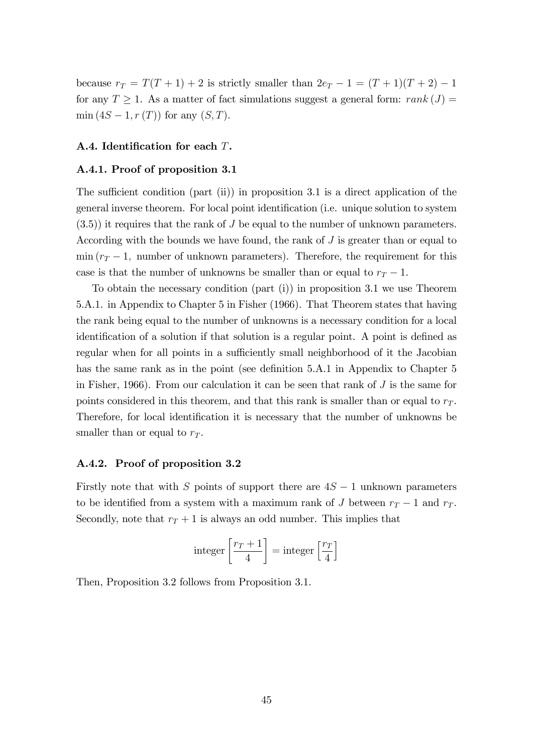because  $r_T = T(T + 1) + 2$  is strictly smaller than  $2e_T - 1 = (T + 1)(T + 2) - 1$ for any  $T \geq 1$ . As a matter of fact simulations suggest a general form: rank  $(J)$  =  $\min (4S - 1, r(T))$  for any  $(S, T)$ .

#### A.4. Identification for each  $T$ .

#### A.4.1. Proof of proposition 3.1

The sufficient condition (part (ii)) in proposition 3.1 is a direct application of the general inverse theorem. For local point identification (i.e. unique solution to system  $(3.5)$ ) it requires that the rank of J be equal to the number of unknown parameters. According with the bounds we have found, the rank of  $J$  is greater than or equal to  $\min (r_T - 1$ , number of unknown parameters). Therefore, the requirement for this case is that the number of unknowns be smaller than or equal to  $r_T - 1$ .

To obtain the necessary condition (part (i)) in proposition 3.1 we use Theorem 5.A.1. in Appendix to Chapter 5 in Fisher (1966). That Theorem states that having the rank being equal to the number of unknowns is a necessary condition for a local identification of a solution if that solution is a regular point. A point is defined as regular when for all points in a sufficiently small neighborhood of it the Jacobian has the same rank as in the point (see definition 5.A.1 in Appendix to Chapter 5 in Fisher, 1966). From our calculation it can be seen that rank of  $J$  is the same for points considered in this theorem, and that this rank is smaller than or equal to  $r<sub>T</sub>$ . Therefore, for local identification it is necessary that the number of unknowns be smaller than or equal to  $r_T$ .

#### A.4.2. Proof of proposition 3.2

Firstly note that with S points of support there are  $4S - 1$  unknown parameters to be identified from a system with a maximum rank of J between  $r_T - 1$  and  $r_T$ . Secondly, note that  $r_T + 1$  is always an odd number. This implies that

$$
\text{integer}\left[\frac{r_T+1}{4}\right] = \text{integer}\left[\frac{r_T}{4}\right]
$$

Then, Proposition 3.2 follows from Proposition 3.1.